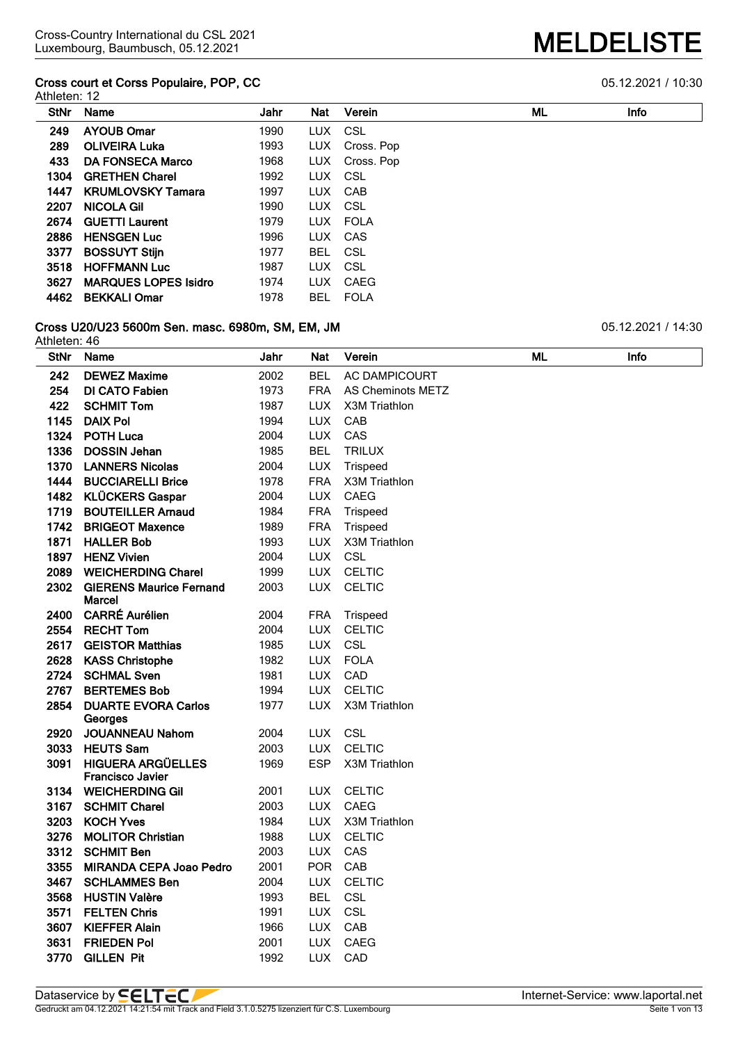#### **Cross court et Corss Populaire, POP, CC** 05.12.2021 / 10:30 Athleten: 12

| AUIGGII. IZ |                             |      |            |            |    |      |
|-------------|-----------------------------|------|------------|------------|----|------|
| StNr        | Name                        | Jahr | <b>Nat</b> | Verein     | ML | Info |
| 249         | <b>AYOUB Omar</b>           | 1990 | LUX CSL    |            |    |      |
| 289         | <b>OLIVEIRA Luka</b>        | 1993 | LUX        | Cross. Pop |    |      |
| 433         | <b>DA FONSECA Marco</b>     | 1968 | LUX        | Cross. Pop |    |      |
| 1304        | <b>GRETHEN Charel</b>       | 1992 | LUX CSL    |            |    |      |
| 1447        | <b>KRUMLOVSKY Tamara</b>    | 1997 | LUX        | CAB        |    |      |
| 2207        | <b>NICOLA Gil</b>           | 1990 | LUX CSL    |            |    |      |
| 2674        | <b>GUETTI Laurent</b>       | 1979 |            | LUX FOLA   |    |      |
| 2886        | <b>HENSGEN Luc</b>          | 1996 |            | LUX CAS    |    |      |
| 3377        | <b>BOSSUYT Stijn</b>        | 1977 | BEL        | CSL        |    |      |
| 3518        | <b>HOFFMANN Luc</b>         | 1987 | LUX.       | CSL        |    |      |
| 3627        | <b>MARQUES LOPES Isidro</b> | 1974 | LUX.       | CAEG       |    |      |

### **Cross U20/U23 5600m Sen. masc. 6980m, SM, EM, JM** 05.12.2021 / 14:30

**BEKKALI Omar** 1978 BEL FOLA

| Athleten: 46 |                                                     |      |            |                          |    |      |
|--------------|-----------------------------------------------------|------|------------|--------------------------|----|------|
| <b>StNr</b>  | Name                                                | Jahr | Nat        | Verein                   | ML | Info |
| 242          | <b>DEWEZ Maxime</b>                                 | 2002 | <b>BEL</b> | <b>AC DAMPICOURT</b>     |    |      |
| 254          | <b>DI CATO Fabien</b>                               | 1973 | <b>FRA</b> | <b>AS Cheminots METZ</b> |    |      |
| 422          | <b>SCHMIT Tom</b>                                   | 1987 | <b>LUX</b> | X3M Triathlon            |    |      |
| 1145         | <b>DAIX Pol</b>                                     | 1994 | <b>LUX</b> | CAB                      |    |      |
| 1324         | <b>POTH Luca</b>                                    | 2004 | <b>LUX</b> | CAS                      |    |      |
| 1336         | <b>DOSSIN Jehan</b>                                 | 1985 | <b>BEL</b> | <b>TRILUX</b>            |    |      |
| 1370         | <b>LANNERS Nicolas</b>                              | 2004 | <b>LUX</b> | Trispeed                 |    |      |
| 1444         | <b>BUCCIARELLI Brice</b>                            | 1978 | <b>FRA</b> | X3M Triathlon            |    |      |
| 1482         | <b>KLÜCKERS Gaspar</b>                              | 2004 | <b>LUX</b> | CAEG                     |    |      |
| 1719         | <b>BOUTEILLER Arnaud</b>                            | 1984 | <b>FRA</b> | Trispeed                 |    |      |
| 1742         | <b>BRIGEOT Maxence</b>                              | 1989 | <b>FRA</b> | Trispeed                 |    |      |
| 1871         | <b>HALLER Bob</b>                                   | 1993 | <b>LUX</b> | X3M Triathlon            |    |      |
| 1897         | <b>HENZ Vivien</b>                                  | 2004 | <b>LUX</b> | CSL                      |    |      |
| 2089         | <b>WEICHERDING Charel</b>                           | 1999 | <b>LUX</b> | <b>CELTIC</b>            |    |      |
| 2302         | <b>GIERENS Maurice Fernand</b><br><b>Marcel</b>     | 2003 | <b>LUX</b> | <b>CELTIC</b>            |    |      |
| 2400         | <b>CARRÉ Aurélien</b>                               | 2004 | <b>FRA</b> | Trispeed                 |    |      |
| 2554         | <b>RECHT Tom</b>                                    | 2004 | <b>LUX</b> | <b>CELTIC</b>            |    |      |
|              | 2617 GEISTOR Matthias                               | 1985 | <b>LUX</b> | CSL                      |    |      |
| 2628         | <b>KASS Christophe</b>                              | 1982 | <b>LUX</b> | <b>FOLA</b>              |    |      |
| 2724         | <b>SCHMAL Sven</b>                                  | 1981 | <b>LUX</b> | CAD                      |    |      |
| 2767         | <b>BERTEMES Bob</b>                                 | 1994 | <b>LUX</b> | <b>CELTIC</b>            |    |      |
| 2854         | <b>DUARTE EVORA Carlos</b><br>Georges               | 1977 | <b>LUX</b> | X3M Triathlon            |    |      |
| 2920         | <b>JOUANNEAU Nahom</b>                              | 2004 |            | LUX CSL                  |    |      |
| 3033         | <b>HEUTS Sam</b>                                    | 2003 | <b>LUX</b> | <b>CELTIC</b>            |    |      |
| 3091         | <b>HIGUERA ARGÜELLES</b><br><b>Francisco Javier</b> | 1969 | <b>ESP</b> | X3M Triathlon            |    |      |
| 3134         | <b>WEICHERDING GII</b>                              | 2001 | <b>LUX</b> | <b>CELTIC</b>            |    |      |
| 3167         | <b>SCHMIT Charel</b>                                | 2003 | <b>LUX</b> | CAEG                     |    |      |
| 3203         | <b>KOCH Yves</b>                                    | 1984 | <b>LUX</b> | X3M Triathlon            |    |      |
| 3276         | <b>MOLITOR Christian</b>                            | 1988 | LUX        | <b>CELTIC</b>            |    |      |
| 3312         | <b>SCHMIT Ben</b>                                   | 2003 | <b>LUX</b> | CAS                      |    |      |
| 3355         | <b>MIRANDA CEPA Joao Pedro</b>                      | 2001 | <b>POR</b> | CAB                      |    |      |
| 3467         | <b>SCHLAMMES Ben</b>                                | 2004 | <b>LUX</b> | <b>CELTIC</b>            |    |      |
| 3568         | <b>HUSTIN Valère</b>                                | 1993 | <b>BEL</b> | <b>CSL</b>               |    |      |
| 3571         | <b>FELTEN Chris</b>                                 | 1991 | <b>LUX</b> | <b>CSL</b>               |    |      |
| 3607         | <b>KIEFFER Alain</b>                                | 1966 | <b>LUX</b> | CAB                      |    |      |
| 3631         | <b>FRIEDEN Pol</b>                                  | 2001 | <b>LUX</b> | CAEG                     |    |      |
| 3770         | <b>GILLEN Pit</b>                                   | 1992 | <b>LUX</b> | CAD                      |    |      |
|              |                                                     |      |            |                          |    |      |

Gedruckt am 04.12.2021 14:21:54 mit Track and Field 3.1.0.5275 lizenziert für C.S. Luxembourg Seite 1 von 13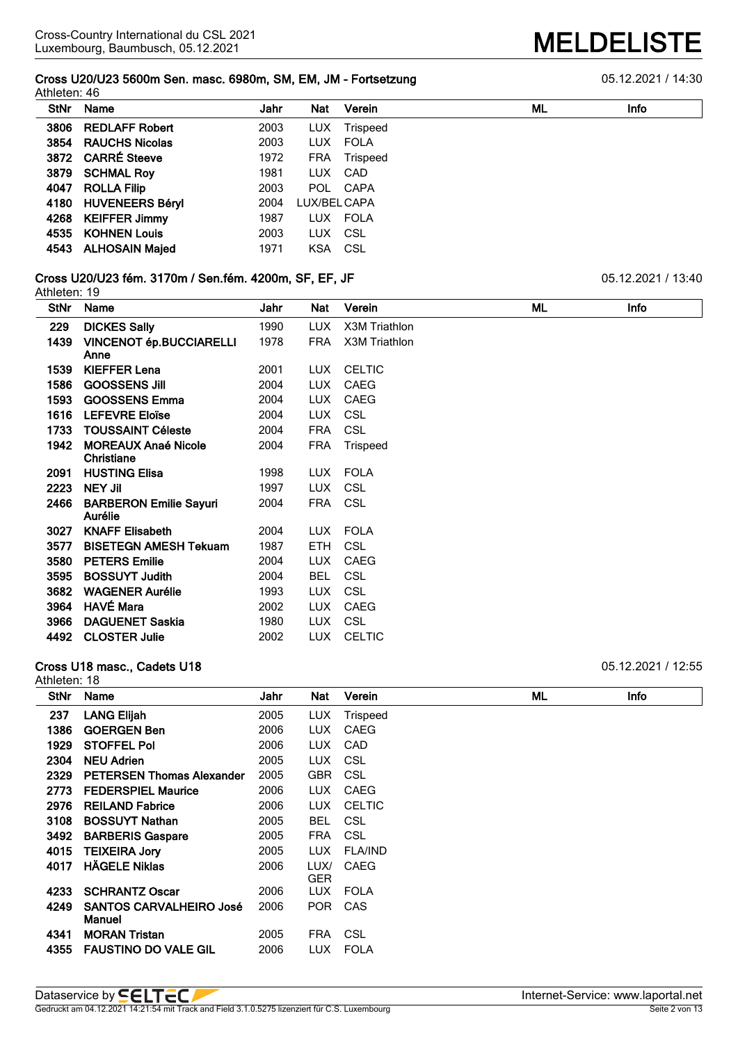**Cross U20/U23 5600m Sen. masc. 6980m, SM, EM, JM - Fortsetzung** 05.12.2021 / 14:30

| Athleten: 46 |                       |      |              |          |    |      |  |
|--------------|-----------------------|------|--------------|----------|----|------|--|
| StNr         | Name                  | Jahr | <b>Nat</b>   | Verein   | ML | Info |  |
| 3806         | <b>REDLAFF Robert</b> | 2003 | LUX.         | Trispeed |    |      |  |
| 3854         | <b>RAUCHS Nicolas</b> | 2003 |              | LUX FOLA |    |      |  |
|              | 3872 CARRÉ Steeve     | 1972 | <b>FRA</b>   | Trispeed |    |      |  |
| 3879         | <b>SCHMAL Roy</b>     | 1981 |              | LUX CAD  |    |      |  |
| 4047         | <b>ROLLA Filip</b>    | 2003 |              | POL CAPA |    |      |  |
|              | 4180 HUVENEERS Béryl  | 2004 | LUX/BEL CAPA |          |    |      |  |
|              | 4268 KEIFFER Jimmy    | 1987 |              | LUX FOLA |    |      |  |
| 4535         | <b>KOHNEN Louis</b>   | 2003 | LUX CSL      |          |    |      |  |
| 4543         | <b>ALHOSAIN Majed</b> | 1971 | KSA CSL      |          |    |      |  |
|              |                       |      |              |          |    |      |  |

#### **Cross U20/U23 fém. 3170m / Sen.fém. 4200m, SF, EF, JF** 05.12.2021 / 13:40

Athleten: 19

| <b>StNr</b> | Name                                            | Jahr | Nat        | Verein        | ML | <b>Info</b> |
|-------------|-------------------------------------------------|------|------------|---------------|----|-------------|
| 229         | <b>DICKES Sally</b>                             | 1990 | <b>LUX</b> | X3M Triathlon |    |             |
| 1439        | <b>VINCENOT ép.BUCCIARELLI</b><br>Anne          | 1978 | <b>FRA</b> | X3M Triathlon |    |             |
| 1539        | <b>KIEFFER Lena</b>                             | 2001 | LUX.       | <b>CELTIC</b> |    |             |
| 1586        | <b>GOOSSENS JIII</b>                            | 2004 | <b>LUX</b> | CAEG          |    |             |
| 1593        | <b>GOOSSENS Emma</b>                            | 2004 | <b>LUX</b> | CAEG          |    |             |
| 1616        | <b>LEFEVRE Eloïse</b>                           | 2004 | LUX.       | CSL           |    |             |
| 1733        | <b>TOUSSAINT Céleste</b>                        | 2004 | <b>FRA</b> | <b>CSL</b>    |    |             |
| 1942        | <b>MOREAUX Anaé Nicole</b><br><b>Christiane</b> | 2004 | <b>FRA</b> | Trispeed      |    |             |
| 2091        | <b>HUSTING Elisa</b>                            | 1998 | LUX        | <b>FOLA</b>   |    |             |
| 2223        | <b>NEY Jil</b>                                  | 1997 | <b>LUX</b> | <b>CSL</b>    |    |             |
| 2466        | <b>BARBERON Emilie Sayuri</b><br>Aurélie        | 2004 | <b>FRA</b> | CSL           |    |             |
| 3027        | <b>KNAFF Elisabeth</b>                          | 2004 | <b>LUX</b> | <b>FOLA</b>   |    |             |
| 3577        | <b>BISETEGN AMESH Tekuam</b>                    | 1987 | ETH        | <b>CSL</b>    |    |             |
| 3580        | <b>PETERS Emilie</b>                            | 2004 | LUX.       | <b>CAEG</b>   |    |             |
| 3595        | <b>BOSSUYT Judith</b>                           | 2004 | <b>BEL</b> | <b>CSL</b>    |    |             |
| 3682        | <b>WAGENER Aurélie</b>                          | 1993 | <b>LUX</b> | <b>CSL</b>    |    |             |
| 3964        | <b>HAVÉ Mara</b>                                | 2002 | <b>LUX</b> | CAEG          |    |             |
| 3966        | <b>DAGUENET Saskia</b>                          | 1980 | LUX.       | <b>CSL</b>    |    |             |
| 4492        | <b>CLOSTER Julie</b>                            | 2002 | LUX.       | <b>CELTIC</b> |    |             |

#### **Cross U18 masc., Cadets U18 Cross U18 masc., Cadets U18 Development Cross U18 masc., Cadets U18**

Athleten: 18 **StNr Name Jahr Nat Verein ML Info LANG Elijah** 2005 LUX Trispeed **GOERGEN Ben** 2006 LUX CAEG **STOFFEL Pol** 2006 LUX CAD **NEU Adrien** 2005 LUX CSL **PETERSEN Thomas Alexander** 2005 GBR CSL **FEDERSPIEL Maurice** 2006 LUX CAEG **REILAND Fabrice** 2006 LUX CELTIC **BOSSUYT Nathan** 2005 BEL CSL **BARBERIS Gaspare** 2005 FRA CSL **TEIXEIRA Jory** 2005 LUX FLA/IND **HÄGELE Niklas** 2006 LUX/ GER<br>LUX CAEG **SCHRANTZ Oscar** 2006 LUX FOLA **SANTOS CARVALHEIRO José Manuel** POR CAS **MORAN Tristan** 2005 FRA CSL **FAUSTINO DO VALE GIL** 2006 LUX FOLA

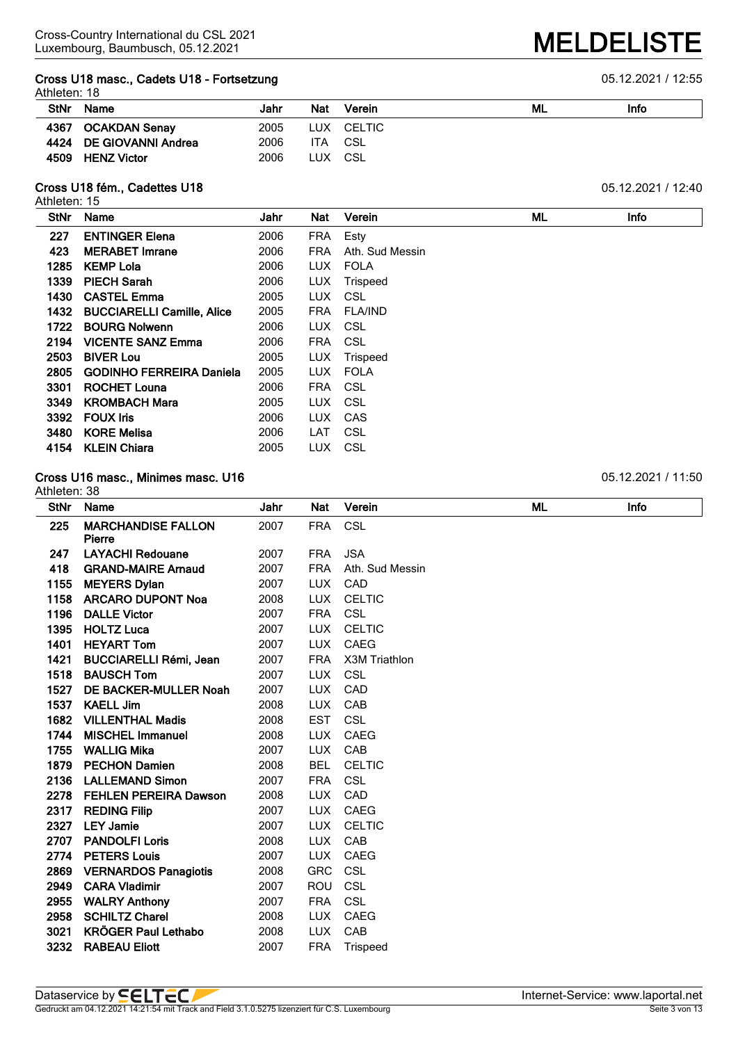#### **Cross U18 masc., Cadets U18 - Fortsetzung** 05.12.2021 / 12:55 Athleten: 18

|             | 1111101011.10           |      |            |        |    |      |  |  |  |
|-------------|-------------------------|------|------------|--------|----|------|--|--|--|
| <b>StNr</b> | Name                    | Jahr | <b>Nat</b> | Verein | ML | Info |  |  |  |
| 4367        | OCAKDAN Senay           | 2005 | LUX.       | CELTIC |    |      |  |  |  |
|             | 4424 DE GIOVANNI Andrea | 2006 | ITA        | CSL    |    |      |  |  |  |
| 4509        | <b>HENZ Victor</b>      | 2006 | LUX        | CSL    |    |      |  |  |  |

#### **Cross U18 fém., Cadettes U18 constant of the Cross U18 fém., Cadettes U18 constant of the Cross U18 fém., Cadettes U18**

Athleten: 15

| <b>StNr</b> | Name                              | Jahr | Nat        | Verein          | ML | <b>Info</b> |
|-------------|-----------------------------------|------|------------|-----------------|----|-------------|
| 227         | <b>ENTINGER Elena</b>             | 2006 | FRA        | Esty            |    |             |
| 423         | <b>MERABET Imrane</b>             | 2006 | <b>FRA</b> | Ath. Sud Messin |    |             |
| 1285        | <b>KEMP Lola</b>                  | 2006 | <b>LUX</b> | <b>FOLA</b>     |    |             |
| 1339        | <b>PIECH Sarah</b>                | 2006 | <b>LUX</b> | <b>Trispeed</b> |    |             |
| 1430        | <b>CASTEL Emma</b>                | 2005 | <b>LUX</b> | CSL             |    |             |
| 1432        | <b>BUCCIARELLI Camille, Alice</b> | 2005 | <b>FRA</b> | <b>FLA/IND</b>  |    |             |
| 1722        | <b>BOURG Nolwenn</b>              | 2006 | <b>LUX</b> | CSL             |    |             |
| 2194        | <b>VICENTE SANZ Emma</b>          | 2006 | <b>FRA</b> | CSL             |    |             |
| 2503        | <b>BIVER Lou</b>                  | 2005 | <b>LUX</b> | Trispeed        |    |             |
| 2805        | <b>GODINHO FERREIRA Daniela</b>   | 2005 | LUX.       | <b>FOLA</b>     |    |             |
| 3301        | <b>ROCHET Louna</b>               | 2006 | <b>FRA</b> | CSL             |    |             |
| 3349        | <b>KROMBACH Mara</b>              | 2005 | <b>LUX</b> | CSL             |    |             |
| 3392        | <b>FOUX Iris</b>                  | 2006 | LUX.       | CAS             |    |             |
| 3480        | <b>KORE Melisa</b>                | 2006 | LAT        | CSL             |    |             |
| 4154        | <b>KLEIN Chiara</b>               | 2005 | <b>LUX</b> | CSL             |    |             |

#### **Cross U16 masc., Minimes masc. U16 12.2021** / 11:50

Athleten: 38

| <b>StNr</b> | <b>Name</b>                         | Jahr | Nat        | Verein          | ML | Info |
|-------------|-------------------------------------|------|------------|-----------------|----|------|
| 225         | <b>MARCHANDISE FALLON</b><br>Pierre | 2007 | <b>FRA</b> | <b>CSL</b>      |    |      |
| 247         | <b>LAYACHI Redouane</b>             | 2007 | <b>FRA</b> | <b>JSA</b>      |    |      |
| 418         | <b>GRAND-MAIRE Arnaud</b>           | 2007 | <b>FRA</b> | Ath. Sud Messin |    |      |
| 1155        | <b>MEYERS Dylan</b>                 | 2007 | <b>LUX</b> | CAD             |    |      |
| 1158        | <b>ARCARO DUPONT Noa</b>            | 2008 | <b>LUX</b> | <b>CELTIC</b>   |    |      |
| 1196        | <b>DALLE Victor</b>                 | 2007 | <b>FRA</b> | <b>CSL</b>      |    |      |
| 1395        | <b>HOLTZ Luca</b>                   | 2007 | <b>LUX</b> | <b>CELTIC</b>   |    |      |
| 1401        | <b>HEYART Tom</b>                   | 2007 | <b>LUX</b> | <b>CAEG</b>     |    |      |
| 1421        | <b>BUCCIARELLI Rémi, Jean</b>       | 2007 | <b>FRA</b> | X3M Triathlon   |    |      |
| 1518        | <b>BAUSCH Tom</b>                   | 2007 | <b>LUX</b> | <b>CSL</b>      |    |      |
| 1527        | DE BACKER-MULLER Noah               | 2007 | <b>LUX</b> | CAD             |    |      |
| 1537        | <b>KAELL Jim</b>                    | 2008 | <b>LUX</b> | CAB             |    |      |
| 1682        | <b>VILLENTHAL Madis</b>             | 2008 | <b>EST</b> | <b>CSL</b>      |    |      |
| 1744        | <b>MISCHEL Immanuel</b>             | 2008 | <b>LUX</b> | <b>CAEG</b>     |    |      |
| 1755        | <b>WALLIG Mika</b>                  | 2007 | <b>LUX</b> | CAB             |    |      |
| 1879        | <b>PECHON Damien</b>                | 2008 | <b>BEL</b> | <b>CELTIC</b>   |    |      |
| 2136        | <b>LALLEMAND Simon</b>              | 2007 | <b>FRA</b> | <b>CSL</b>      |    |      |
| 2278        | <b>FEHLEN PEREIRA Dawson</b>        | 2008 | <b>LUX</b> | CAD             |    |      |
| 2317        | <b>REDING Filip</b>                 | 2007 | <b>LUX</b> | <b>CAEG</b>     |    |      |
| 2327        | <b>LEY Jamie</b>                    | 2007 | <b>LUX</b> | <b>CELTIC</b>   |    |      |
| 2707        | <b>PANDOLFI Loris</b>               | 2008 | <b>LUX</b> | CAB             |    |      |
| 2774        | <b>PETERS Louis</b>                 | 2007 | <b>LUX</b> | <b>CAEG</b>     |    |      |
| 2869        | <b>VERNARDOS Panagiotis</b>         | 2008 | <b>GRC</b> | <b>CSL</b>      |    |      |
| 2949        | <b>CARA Vladimir</b>                | 2007 | <b>ROU</b> | <b>CSL</b>      |    |      |
| 2955        | <b>WALRY Anthony</b>                | 2007 | <b>FRA</b> | <b>CSL</b>      |    |      |
| 2958        | <b>SCHILTZ Charel</b>               | 2008 | <b>LUX</b> | <b>CAEG</b>     |    |      |
| 3021        | <b>KRÖGER Paul Lethabo</b>          | 2008 | <b>LUX</b> | CAB             |    |      |
| 3232        | <b>RABEAU Eliott</b>                | 2007 | <b>FRA</b> | Trispeed        |    |      |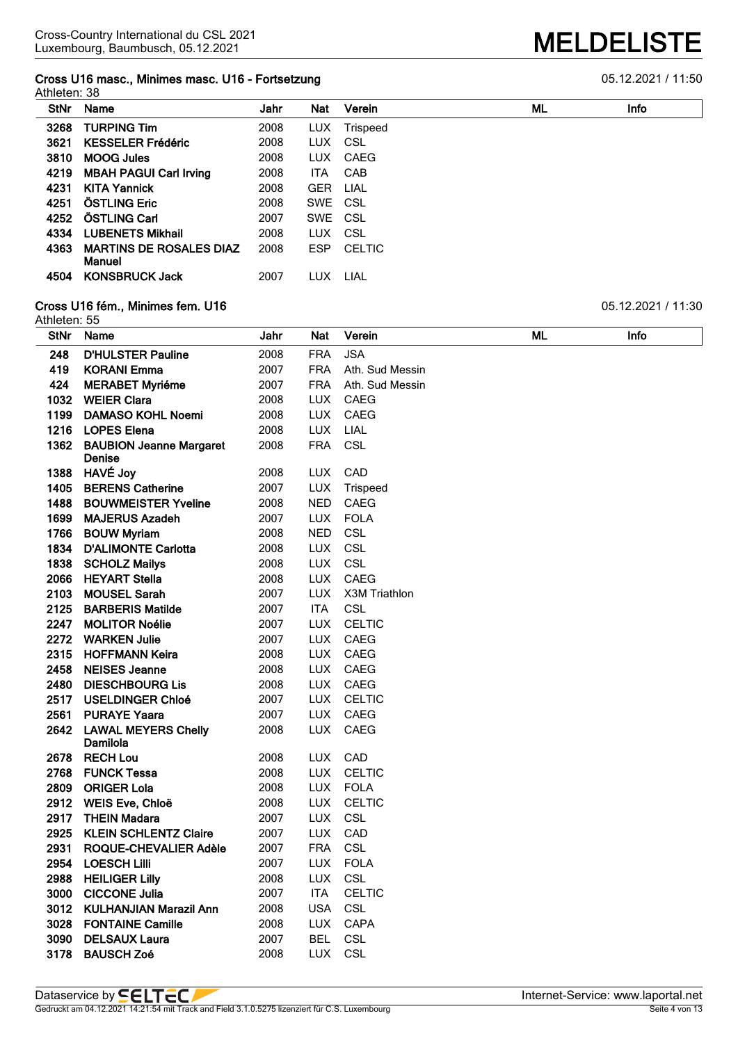# **Cross U16 masc., Minimes masc. U16 - Fortsetzung 6.6 and 10 minutes of the Cross U16 masc.** 11:50

| Athleten: 38 |                                |      |            |                 |    |             |  |
|--------------|--------------------------------|------|------------|-----------------|----|-------------|--|
| <b>StNr</b>  | Name                           | Jahr | Nat        | Verein          | ML | <b>Info</b> |  |
| 3268         | <b>TURPING Tim</b>             | 2008 | <b>LUX</b> | <b>Trispeed</b> |    |             |  |
| 3621         | <b>KESSELER Frédéric</b>       | 2008 | <b>LUX</b> | CSL             |    |             |  |
| 3810         | <b>MOOG Jules</b>              | 2008 | <b>LUX</b> | CAEG            |    |             |  |
| 4219         | <b>MBAH PAGUI Carl Irving</b>  | 2008 | <b>ITA</b> | CAB             |    |             |  |
| 4231         | <b>KITA Yannick</b>            | 2008 | <b>GER</b> | LIAL            |    |             |  |
| 4251         | <b>ÖSTLING Eric</b>            | 2008 | SWE CSL    |                 |    |             |  |
| 4252         | ÖSTLING Carl                   | 2007 | SWE CSL    |                 |    |             |  |
| 4334         | <b>LUBENETS Mikhail</b>        | 2008 | <b>LUX</b> | CSL             |    |             |  |
| 4363         | <b>MARTINS DE ROSALES DIAZ</b> | 2008 | <b>ESP</b> | <b>CELTIC</b>   |    |             |  |
|              | Manuel                         |      |            |                 |    |             |  |
| 4504         | <b>KONSBRUCK Jack</b>          | 2007 | LUX        | LIAL            |    |             |  |

#### **Cross U16 fém., Minimes fem. U16** 05.12.2021 / 11:30

| Athleten: 55 |                                              |              |            |                          |    |      |
|--------------|----------------------------------------------|--------------|------------|--------------------------|----|------|
| <b>StNr</b>  | Name                                         | Jahr         | Nat        | Verein                   | ML | Info |
| 248          | <b>D'HULSTER Pauline</b>                     | 2008         | <b>FRA</b> | <b>JSA</b>               |    |      |
| 419          | <b>KORANI Emma</b>                           | 2007         | <b>FRA</b> | Ath. Sud Messin          |    |      |
| 424          | <b>MERABET Myriéme</b>                       | 2007         | <b>FRA</b> | Ath. Sud Messin          |    |      |
| 1032         | <b>WEIER Clara</b>                           | 2008         | <b>LUX</b> | CAEG                     |    |      |
| 1199         | <b>DAMASO KOHL Noemi</b>                     | 2008         | LUX        | CAEG                     |    |      |
| 1216         | <b>LOPES Elena</b>                           | 2008         | <b>LUX</b> | LIAL                     |    |      |
| 1362         | <b>BAUBION Jeanne Margaret</b>               | 2008         | <b>FRA</b> | CSL                      |    |      |
|              | Denise                                       |              |            |                          |    |      |
| 1388         | <b>HAVÉ Joy</b>                              | 2008         | <b>LUX</b> | CAD                      |    |      |
| 1405         | <b>BERENS Catherine</b>                      | 2007         | <b>LUX</b> | Trispeed                 |    |      |
| 1488         | <b>BOUWMEISTER Yveline</b>                   | 2008         | <b>NED</b> | <b>CAEG</b>              |    |      |
| 1699         | <b>MAJERUS Azadeh</b>                        | 2007         | <b>LUX</b> | <b>FOLA</b>              |    |      |
| 1766         | <b>BOUW Myriam</b>                           | 2008         | <b>NED</b> | CSL                      |    |      |
| 1834         | <b>D'ALIMONTE Carlotta</b>                   | 2008         | <b>LUX</b> | CSL                      |    |      |
| 1838         | <b>SCHOLZ Mailys</b>                         | 2008         | <b>LUX</b> | CSL                      |    |      |
| 2066         | <b>HEYART Stella</b>                         | 2008         | LUX        | CAEG                     |    |      |
| 2103         | <b>MOUSEL Sarah</b>                          | 2007         | <b>LUX</b> | X3M Triathlon            |    |      |
| 2125         | <b>BARBERIS Matilde</b>                      | 2007         | <b>ITA</b> | <b>CSL</b>               |    |      |
| 2247         | <b>MOLITOR Noélie</b>                        | 2007         | <b>LUX</b> | <b>CELTIC</b>            |    |      |
| 2272         | <b>WARKEN Julie</b>                          | 2007         | <b>LUX</b> | CAEG                     |    |      |
| 2315         | <b>HOFFMANN Keira</b>                        | 2008         | <b>LUX</b> | CAEG                     |    |      |
| 2458         | <b>NEISES Jeanne</b>                         | 2008         | <b>LUX</b> | CAEG                     |    |      |
| 2480         | <b>DIESCHBOURG Lis</b>                       | 2008         | <b>LUX</b> | CAEG                     |    |      |
| 2517         | <b>USELDINGER Chloé</b>                      | 2007         | <b>LUX</b> | <b>CELTIC</b>            |    |      |
| 2561         | <b>PURAYE Yaara</b>                          | 2007         | <b>LUX</b> | CAEG                     |    |      |
| 2642         | <b>LAWAL MEYERS Chelly</b>                   | 2008         | <b>LUX</b> | CAEG                     |    |      |
|              | Damilola<br><b>RECH Lou</b>                  |              |            |                          |    |      |
| 2678<br>2768 |                                              | 2008         | <b>LUX</b> | LUX CAD<br><b>CELTIC</b> |    |      |
| 2809         | <b>FUNCK Tessa</b>                           | 2008<br>2008 | <b>LUX</b> | FOLA                     |    |      |
|              | <b>ORIGER Lola</b><br>2912 WEIS Eve, Chloë   | 2008         | <b>LUX</b> | <b>CELTIC</b>            |    |      |
| 2917         | <b>THEIN Madara</b>                          | 2007         | <b>LUX</b> | CSL                      |    |      |
| 2925         | <b>KLEIN SCHLENTZ Claire</b>                 | 2007         | <b>LUX</b> | CAD                      |    |      |
| 2931         | ROQUE-CHEVALIER Adèle                        | 2007         | <b>FRA</b> | <b>CSL</b>               |    |      |
| 2954         |                                              | 2007         | <b>LUX</b> | <b>FOLA</b>              |    |      |
| 2988         | <b>LOESCH Lilli</b><br><b>HEILIGER Lilly</b> | 2008         | <b>LUX</b> | <b>CSL</b>               |    |      |
| 3000         | <b>CICCONE Julia</b>                         | 2007         | <b>ITA</b> | <b>CELTIC</b>            |    |      |
| 3012         | <b>KULHANJIAN Marazil Ann</b>                | 2008         | <b>USA</b> | <b>CSL</b>               |    |      |
| 3028         | <b>FONTAINE Camille</b>                      | 2008         | <b>LUX</b> | <b>CAPA</b>              |    |      |
| 3090         | <b>DELSAUX Laura</b>                         | 2007         | <b>BEL</b> | <b>CSL</b>               |    |      |
| 3178         | <b>BAUSCH Zoé</b>                            | 2008         | <b>LUX</b> | <b>CSL</b>               |    |      |
|              |                                              |              |            |                          |    |      |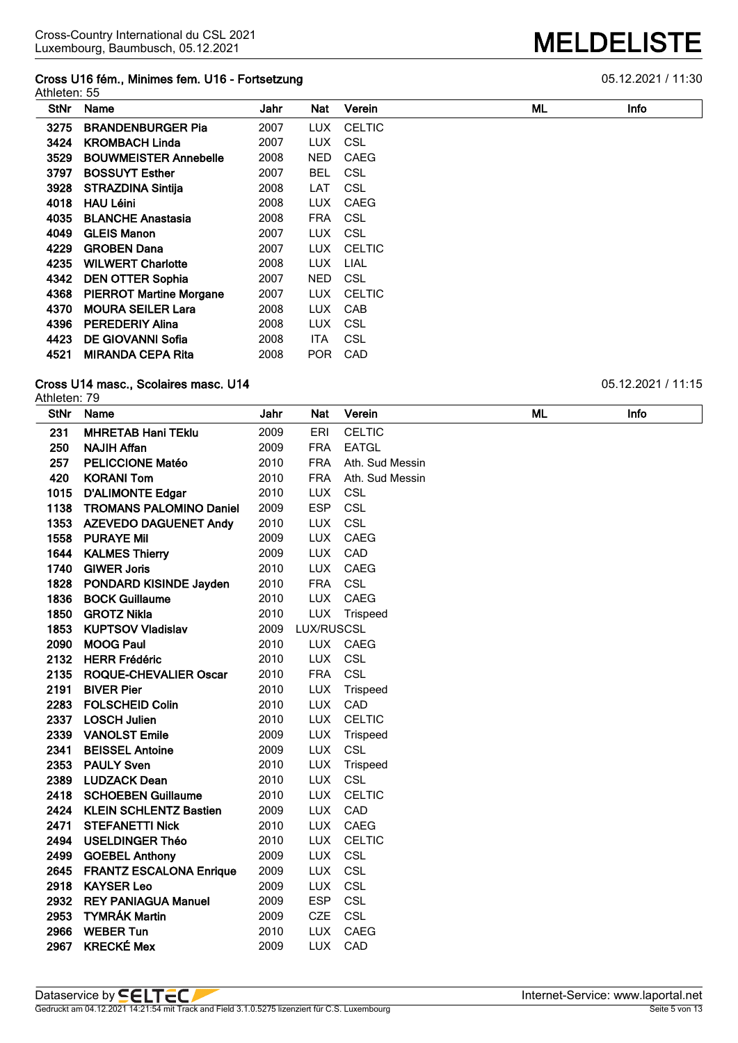# **Cross U16 fém., Minimes fem. U16 - Fortsetzung** 05.12.2021 / 11:30

|      | Athleten: 55                   |      |            |               |    |             |  |  |  |
|------|--------------------------------|------|------------|---------------|----|-------------|--|--|--|
| StNr | Name                           | Jahr | Nat        | Verein        | ML | <b>Info</b> |  |  |  |
| 3275 | <b>BRANDENBURGER Pia</b>       | 2007 | LUX.       | <b>CELTIC</b> |    |             |  |  |  |
| 3424 | <b>KROMBACH Linda</b>          | 2007 | <b>LUX</b> | CSL           |    |             |  |  |  |
| 3529 | <b>BOUWMEISTER Annebelle</b>   | 2008 | <b>NED</b> | CAEG          |    |             |  |  |  |
| 3797 | <b>BOSSUYT Esther</b>          | 2007 | <b>BEL</b> | CSL           |    |             |  |  |  |
| 3928 | <b>STRAZDINA Sintija</b>       | 2008 | LAT        | CSL           |    |             |  |  |  |
| 4018 | <b>HAU Léini</b>               | 2008 | LUX.       | CAEG          |    |             |  |  |  |
| 4035 | <b>BLANCHE Anastasia</b>       | 2008 | <b>FRA</b> | CSL           |    |             |  |  |  |
| 4049 | <b>GLEIS Manon</b>             | 2007 | LUX.       | CSL           |    |             |  |  |  |
| 4229 | <b>GROBEN Dana</b>             | 2007 | <b>LUX</b> | <b>CELTIC</b> |    |             |  |  |  |
| 4235 | <b>WILWERT Charlotte</b>       | 2008 | <b>LUX</b> | <b>LIAL</b>   |    |             |  |  |  |
| 4342 | <b>DEN OTTER Sophia</b>        | 2007 | NED.       | CSL           |    |             |  |  |  |
| 4368 | <b>PIERROT Martine Morgane</b> | 2007 | <b>LUX</b> | <b>CELTIC</b> |    |             |  |  |  |
| 4370 | <b>MOURA SEILER Lara</b>       | 2008 | <b>LUX</b> | <b>CAB</b>    |    |             |  |  |  |
| 4396 | <b>PEREDERIY Alina</b>         | 2008 | <b>LUX</b> | CSL           |    |             |  |  |  |
| 4423 | <b>DE GIOVANNI Sofia</b>       | 2008 | ITA        | CSL           |    |             |  |  |  |
| 4521 | <b>MIRANDA CEPA Rita</b>       | 2008 | POR.       | CAD           |    |             |  |  |  |

#### **Cross U14 masc., Scolaires masc. U14 Development of the U14** 05.12.2021 / 11:15

Athleten: 79<br>StNr Name

|                                |                                                                                                                                                                                                                                                                                                                                                                                                                                                                                                        |                                                                                                                                                                              | Verein                                                                                                                                                                                                                                                                                                                                                       |                                                                                                                                                                                                                                   | Info |
|--------------------------------|--------------------------------------------------------------------------------------------------------------------------------------------------------------------------------------------------------------------------------------------------------------------------------------------------------------------------------------------------------------------------------------------------------------------------------------------------------------------------------------------------------|------------------------------------------------------------------------------------------------------------------------------------------------------------------------------|--------------------------------------------------------------------------------------------------------------------------------------------------------------------------------------------------------------------------------------------------------------------------------------------------------------------------------------------------------------|-----------------------------------------------------------------------------------------------------------------------------------------------------------------------------------------------------------------------------------|------|
| <b>MHRETAB Hani TEklu</b>      | 2009                                                                                                                                                                                                                                                                                                                                                                                                                                                                                                   | ERI                                                                                                                                                                          | <b>CELTIC</b>                                                                                                                                                                                                                                                                                                                                                |                                                                                                                                                                                                                                   |      |
| <b>NAJIH Affan</b>             | 2009                                                                                                                                                                                                                                                                                                                                                                                                                                                                                                   | <b>FRA</b>                                                                                                                                                                   | <b>EATGL</b>                                                                                                                                                                                                                                                                                                                                                 |                                                                                                                                                                                                                                   |      |
| <b>PELICCIONE Matéo</b>        | 2010                                                                                                                                                                                                                                                                                                                                                                                                                                                                                                   | <b>FRA</b>                                                                                                                                                                   | Ath. Sud Messin                                                                                                                                                                                                                                                                                                                                              |                                                                                                                                                                                                                                   |      |
| <b>KORANI Tom</b>              | 2010                                                                                                                                                                                                                                                                                                                                                                                                                                                                                                   | <b>FRA</b>                                                                                                                                                                   | Ath. Sud Messin                                                                                                                                                                                                                                                                                                                                              |                                                                                                                                                                                                                                   |      |
| <b>D'ALIMONTE Edgar</b>        | 2010                                                                                                                                                                                                                                                                                                                                                                                                                                                                                                   | <b>LUX</b>                                                                                                                                                                   | <b>CSL</b>                                                                                                                                                                                                                                                                                                                                                   |                                                                                                                                                                                                                                   |      |
| <b>TROMANS PALOMINO Daniel</b> | 2009                                                                                                                                                                                                                                                                                                                                                                                                                                                                                                   | <b>ESP</b>                                                                                                                                                                   | CSL                                                                                                                                                                                                                                                                                                                                                          |                                                                                                                                                                                                                                   |      |
| <b>AZEVEDO DAGUENET Andy</b>   | 2010                                                                                                                                                                                                                                                                                                                                                                                                                                                                                                   | <b>LUX</b>                                                                                                                                                                   | CSL                                                                                                                                                                                                                                                                                                                                                          |                                                                                                                                                                                                                                   |      |
| <b>PURAYE Mil</b>              | 2009                                                                                                                                                                                                                                                                                                                                                                                                                                                                                                   | <b>LUX</b>                                                                                                                                                                   | CAEG                                                                                                                                                                                                                                                                                                                                                         |                                                                                                                                                                                                                                   |      |
| <b>KALMES Thierry</b>          | 2009                                                                                                                                                                                                                                                                                                                                                                                                                                                                                                   | <b>LUX</b>                                                                                                                                                                   | CAD                                                                                                                                                                                                                                                                                                                                                          |                                                                                                                                                                                                                                   |      |
| <b>GIWER Joris</b>             | 2010                                                                                                                                                                                                                                                                                                                                                                                                                                                                                                   |                                                                                                                                                                              | CAEG                                                                                                                                                                                                                                                                                                                                                         |                                                                                                                                                                                                                                   |      |
|                                | 2010                                                                                                                                                                                                                                                                                                                                                                                                                                                                                                   | <b>FRA</b>                                                                                                                                                                   | CSL                                                                                                                                                                                                                                                                                                                                                          |                                                                                                                                                                                                                                   |      |
| <b>BOCK Guillaume</b>          | 2010                                                                                                                                                                                                                                                                                                                                                                                                                                                                                                   |                                                                                                                                                                              |                                                                                                                                                                                                                                                                                                                                                              |                                                                                                                                                                                                                                   |      |
| <b>GROTZ Nikla</b>             | 2010                                                                                                                                                                                                                                                                                                                                                                                                                                                                                                   | <b>LUX</b>                                                                                                                                                                   |                                                                                                                                                                                                                                                                                                                                                              |                                                                                                                                                                                                                                   |      |
| <b>KUPTSOV Vladislav</b>       |                                                                                                                                                                                                                                                                                                                                                                                                                                                                                                        |                                                                                                                                                                              |                                                                                                                                                                                                                                                                                                                                                              |                                                                                                                                                                                                                                   |      |
| <b>MOOG Paul</b>               |                                                                                                                                                                                                                                                                                                                                                                                                                                                                                                        |                                                                                                                                                                              |                                                                                                                                                                                                                                                                                                                                                              |                                                                                                                                                                                                                                   |      |
| <b>HERR Frédéric</b>           |                                                                                                                                                                                                                                                                                                                                                                                                                                                                                                        |                                                                                                                                                                              |                                                                                                                                                                                                                                                                                                                                                              |                                                                                                                                                                                                                                   |      |
|                                |                                                                                                                                                                                                                                                                                                                                                                                                                                                                                                        |                                                                                                                                                                              |                                                                                                                                                                                                                                                                                                                                                              |                                                                                                                                                                                                                                   |      |
| <b>BIVER Pier</b>              |                                                                                                                                                                                                                                                                                                                                                                                                                                                                                                        |                                                                                                                                                                              |                                                                                                                                                                                                                                                                                                                                                              |                                                                                                                                                                                                                                   |      |
|                                |                                                                                                                                                                                                                                                                                                                                                                                                                                                                                                        |                                                                                                                                                                              |                                                                                                                                                                                                                                                                                                                                                              |                                                                                                                                                                                                                                   |      |
|                                |                                                                                                                                                                                                                                                                                                                                                                                                                                                                                                        |                                                                                                                                                                              |                                                                                                                                                                                                                                                                                                                                                              |                                                                                                                                                                                                                                   |      |
|                                |                                                                                                                                                                                                                                                                                                                                                                                                                                                                                                        |                                                                                                                                                                              |                                                                                                                                                                                                                                                                                                                                                              |                                                                                                                                                                                                                                   |      |
|                                |                                                                                                                                                                                                                                                                                                                                                                                                                                                                                                        |                                                                                                                                                                              |                                                                                                                                                                                                                                                                                                                                                              |                                                                                                                                                                                                                                   |      |
|                                |                                                                                                                                                                                                                                                                                                                                                                                                                                                                                                        |                                                                                                                                                                              |                                                                                                                                                                                                                                                                                                                                                              |                                                                                                                                                                                                                                   |      |
|                                |                                                                                                                                                                                                                                                                                                                                                                                                                                                                                                        |                                                                                                                                                                              |                                                                                                                                                                                                                                                                                                                                                              |                                                                                                                                                                                                                                   |      |
|                                |                                                                                                                                                                                                                                                                                                                                                                                                                                                                                                        |                                                                                                                                                                              |                                                                                                                                                                                                                                                                                                                                                              |                                                                                                                                                                                                                                   |      |
|                                |                                                                                                                                                                                                                                                                                                                                                                                                                                                                                                        |                                                                                                                                                                              |                                                                                                                                                                                                                                                                                                                                                              |                                                                                                                                                                                                                                   |      |
|                                |                                                                                                                                                                                                                                                                                                                                                                                                                                                                                                        |                                                                                                                                                                              |                                                                                                                                                                                                                                                                                                                                                              |                                                                                                                                                                                                                                   |      |
|                                |                                                                                                                                                                                                                                                                                                                                                                                                                                                                                                        |                                                                                                                                                                              |                                                                                                                                                                                                                                                                                                                                                              |                                                                                                                                                                                                                                   |      |
|                                |                                                                                                                                                                                                                                                                                                                                                                                                                                                                                                        |                                                                                                                                                                              |                                                                                                                                                                                                                                                                                                                                                              |                                                                                                                                                                                                                                   |      |
|                                |                                                                                                                                                                                                                                                                                                                                                                                                                                                                                                        |                                                                                                                                                                              |                                                                                                                                                                                                                                                                                                                                                              |                                                                                                                                                                                                                                   |      |
|                                |                                                                                                                                                                                                                                                                                                                                                                                                                                                                                                        |                                                                                                                                                                              |                                                                                                                                                                                                                                                                                                                                                              |                                                                                                                                                                                                                                   |      |
|                                |                                                                                                                                                                                                                                                                                                                                                                                                                                                                                                        |                                                                                                                                                                              |                                                                                                                                                                                                                                                                                                                                                              |                                                                                                                                                                                                                                   |      |
|                                |                                                                                                                                                                                                                                                                                                                                                                                                                                                                                                        |                                                                                                                                                                              |                                                                                                                                                                                                                                                                                                                                                              |                                                                                                                                                                                                                                   |      |
|                                |                                                                                                                                                                                                                                                                                                                                                                                                                                                                                                        |                                                                                                                                                                              |                                                                                                                                                                                                                                                                                                                                                              |                                                                                                                                                                                                                                   |      |
|                                |                                                                                                                                                                                                                                                                                                                                                                                                                                                                                                        |                                                                                                                                                                              |                                                                                                                                                                                                                                                                                                                                                              |                                                                                                                                                                                                                                   |      |
|                                | PONDARD KISINDE Jayden<br><b>ROQUE-CHEVALIER Oscar</b><br><b>FOLSCHEID Colin</b><br><b>LOSCH Julien</b><br><b>VANOLST Emile</b><br><b>BEISSEL Antoine</b><br><b>PAULY Sven</b><br><b>LUDZACK Dean</b><br><b>SCHOEBEN Guillaume</b><br><b>KLEIN SCHLENTZ Bastien</b><br><b>STEFANETTI Nick</b><br><b>USELDINGER Théo</b><br><b>GOEBEL Anthony</b><br><b>FRANTZ ESCALONA Enrique</b><br><b>KAYSER Leo</b><br><b>REY PANIAGUA Manuel</b><br><b>TYMRÁK Martin</b><br><b>WEBER Tun</b><br><b>KRECKÉ Mex</b> | 2009<br>2010<br>2010<br>2010<br>2010<br>2010<br>2010<br>2009<br>2009<br>2010<br>2010<br>2010<br>2009<br>2010<br>2010<br>2009<br>2009<br>2009<br>2009<br>2009<br>2010<br>2009 | Jahr<br><b>Nat</b><br>Name<br><b>LUX</b><br><b>LUX</b><br><b>LUX</b><br><b>LUX</b><br><b>FRA</b><br><b>LUX</b><br><b>LUX</b><br><b>LUX</b><br><b>LUX</b><br><b>LUX</b><br><b>LUX</b><br><b>LUX</b><br><b>LUX</b><br><b>LUX</b><br><b>LUX</b><br><b>LUX</b><br><b>LUX</b><br><b>LUX</b><br><b>LUX</b><br><b>ESP</b><br><b>CZE</b><br><b>LUX</b><br><b>LUX</b> | CAEG<br>Trispeed<br>LUX/RUSCSL<br>CAEG<br>CSL<br>CSL<br>Trispeed<br>CAD<br><b>CELTIC</b><br>Trispeed<br>CSL<br>Trispeed<br>CSL<br><b>CELTIC</b><br>CAD<br>CAEG<br><b>CELTIC</b><br>CSL<br>CSL<br>CSL<br>CSL<br>CSL<br>CAEG<br>CAD | ML   |

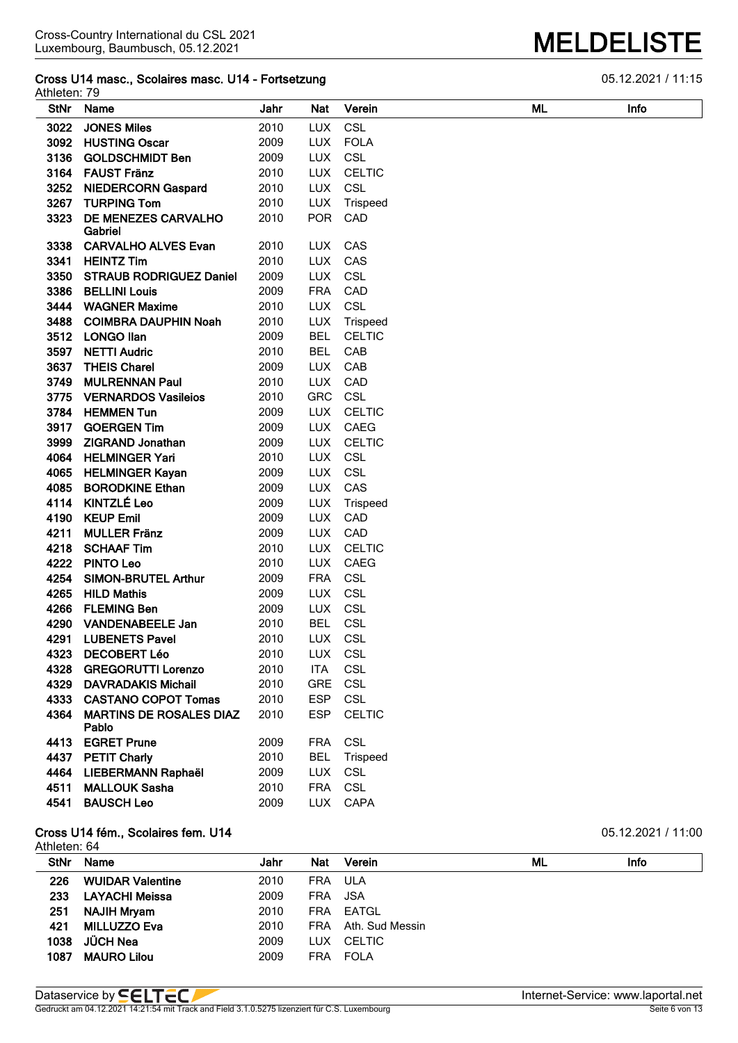# **Cross U14 masc., Scolaires masc. U14 - Fortsetzung** 05.12.2021 / 11:15

| Athleten: 79 |                                |      |            |               |    |             |
|--------------|--------------------------------|------|------------|---------------|----|-------------|
| <b>StNr</b>  | Name                           | Jahr | Nat        | Verein        | ML | <b>Infc</b> |
| 3022         | <b>JONES Miles</b>             | 2010 | <b>LUX</b> | CSL           |    |             |
| 3092         | <b>HUSTING Oscar</b>           | 2009 | <b>LUX</b> | <b>FOLA</b>   |    |             |
| 3136         | <b>GOLDSCHMIDT Ben</b>         | 2009 | LUX        | CSL           |    |             |
| 3164         | <b>FAUST Fränz</b>             | 2010 | <b>LUX</b> | <b>CELTIC</b> |    |             |
| 3252         | <b>NIEDERCORN Gaspard</b>      | 2010 | <b>LUX</b> | CSL           |    |             |
| 3267         | <b>TURPING Tom</b>             | 2010 | <b>LUX</b> | Trispeed      |    |             |
| 3323         | DE MENEZES CARVALHO<br>Gabriel | 2010 | <b>POR</b> | CAD           |    |             |
| 3338         | <b>CARVALHO ALVES Evan</b>     | 2010 | <b>LUX</b> | CAS           |    |             |
| 3341         | <b>HEINTZ Tim</b>              | 2010 | <b>LUX</b> | CAS           |    |             |
| 3350         | <b>STRAUB RODRIGUEZ Daniel</b> | 2009 | <b>LUX</b> | <b>CSL</b>    |    |             |
| 3386         | <b>BELLINI Louis</b>           | 2009 | <b>FRA</b> | CAD           |    |             |
| 3444         | <b>WAGNER Maxime</b>           | 2010 | <b>LUX</b> | <b>CSL</b>    |    |             |
| 3488         | <b>COIMBRA DAUPHIN Noah</b>    | 2010 | <b>LUX</b> | Trispeed      |    |             |
| 3512         | <b>LONGO Ilan</b>              | 2009 | <b>BEL</b> | <b>CELTIC</b> |    |             |
| 3597         | <b>NETTI Audric</b>            | 2010 | <b>BEL</b> | CAB           |    |             |
| 3637         | <b>THEIS Charel</b>            | 2009 | <b>LUX</b> | CAB           |    |             |
| 3749         | <b>MULRENNAN Paul</b>          | 2010 | <b>LUX</b> | CAD           |    |             |
| 3775         | <b>VERNARDOS Vasileios</b>     | 2010 | <b>GRC</b> | CSL           |    |             |
| 3784         | <b>HEMMEN Tun</b>              | 2009 | <b>LUX</b> | <b>CELTIC</b> |    |             |
| 3917         | <b>GOERGEN Tim</b>             | 2009 | <b>LUX</b> | CAEG          |    |             |
| 3999         | <b>ZIGRAND Jonathan</b>        | 2009 | <b>LUX</b> | <b>CELTIC</b> |    |             |
| 4064         | <b>HELMINGER Yari</b>          | 2010 | <b>LUX</b> | CSL           |    |             |
| 4065         | <b>HELMINGER Kayan</b>         | 2009 | <b>LUX</b> | <b>CSL</b>    |    |             |
| 4085         | <b>BORODKINE Ethan</b>         | 2009 | <b>LUX</b> | CAS           |    |             |
| 4114         | <b>KINTZLÉ Leo</b>             | 2009 | <b>LUX</b> | Trispeed      |    |             |
| 4190         | <b>KEUP Emil</b>               | 2009 | <b>LUX</b> | CAD           |    |             |
| 4211         | <b>MULLER Fränz</b>            | 2009 | <b>LUX</b> | CAD           |    |             |
| 4218         | <b>SCHAAF Tim</b>              | 2010 | <b>LUX</b> | <b>CELTIC</b> |    |             |
| 4222         | <b>PINTO Leo</b>               | 2010 | <b>LUX</b> | CAEG          |    |             |
| 4254         | <b>SIMON-BRUTEL Arthur</b>     | 2009 | <b>FRA</b> | CSL           |    |             |
| 4265         | <b>HILD Mathis</b>             | 2009 | <b>LUX</b> | CSL           |    |             |
| 4266         | <b>FLEMING Ben</b>             | 2009 | <b>LUX</b> | <b>CSL</b>    |    |             |
| 4290         | <b>VANDENABEELE Jan</b>        | 2010 | <b>BEL</b> | <b>CSL</b>    |    |             |
| 4291         | <b>LUBENETS Pavel</b>          | 2010 | <b>LUX</b> | <b>CSL</b>    |    |             |
| 4323         | <b>DECOBERT Léo</b>            | 2010 | <b>LUX</b> | CSL           |    |             |
| 4328         | <b>GREGORUTTI Lorenzo</b>      | 2010 | <b>ITA</b> | CSL           |    |             |

ESP CELTIC

#### **Cross U14 fém., Scolaires fem. U14 Cross U14 fém., Scolaires fem. U14 D5.12.2021 / 11:00**

**MARTINS DE ROSALES DIAZ**

**Pablo**

| Athleten: 64 |                         |      |            |                 |    |      |
|--------------|-------------------------|------|------------|-----------------|----|------|
| <b>StNr</b>  | <b>Name</b>             | Jahr | <b>Nat</b> | Verein          | ML | Info |
| 226          | <b>WUIDAR Valentine</b> | 2010 | <b>FRA</b> | ULA             |    |      |
| 233          | <b>LAYACHI Meissa</b>   | 2009 | <b>FRA</b> | JSA             |    |      |
| 251          | <b>NAJIH Mryam</b>      | 2010 | <b>FRA</b> | EATGL           |    |      |
| 421          | <b>MILLUZZO Eva</b>     | 2010 | <b>FRA</b> | Ath. Sud Messin |    |      |
| 1038         | JÜCH Nea                | 2009 | <b>LUX</b> | CELTIC          |    |      |
| 1087         | <b>MAURO Lilou</b>      | 2009 | <b>FRA</b> | <b>FOLA</b>     |    |      |

Gedruckt am 04.12.2021 14:21:54 mit Track and Field 3.1.0.5275 lizenziert für C.S. Luxembourg

 **DAVRADAKIS Michail** 2010 GRE CSL **CASTANO COPOT Tomas** 2010 ESP CSL

 **EGRET Prune** 2009 FRA CSL **PETIT Charly** 2010 BEL Trispeed **LIEBERMANN Raphaël** 2009 LUX CSL **MALLOUK Sasha** 2010 FRA CSL **BAUSCH Leo** 2009 LUX CAPA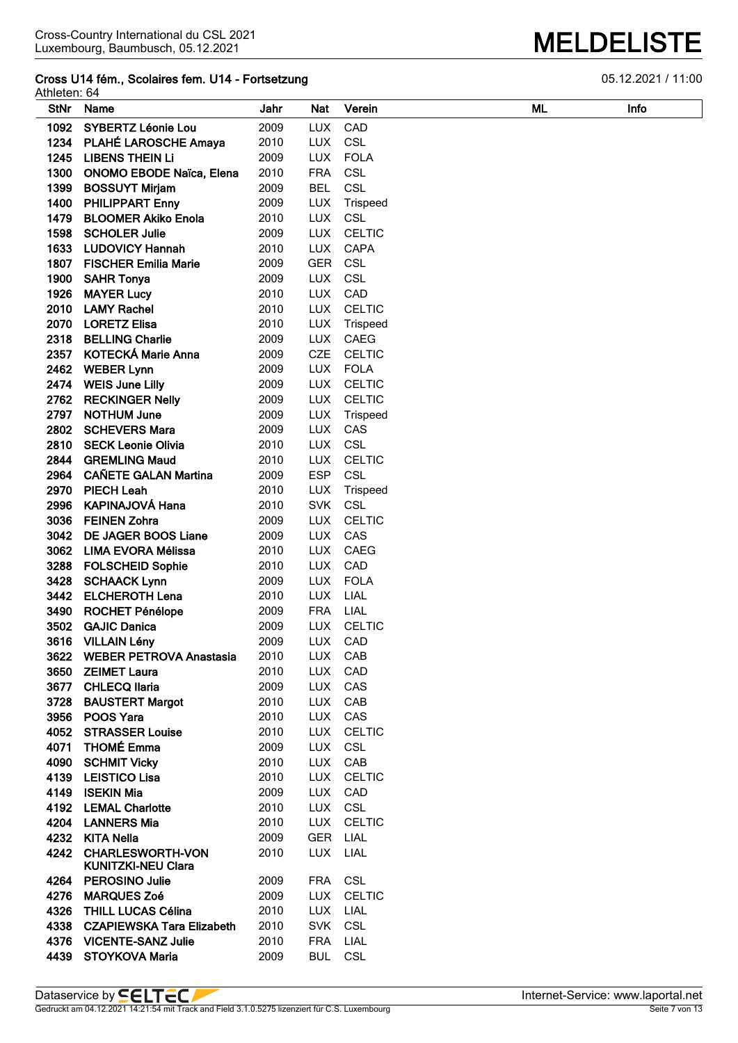### **Cross U14 fém., Scolaires fem. U14 - Fortsetzung 6.6 and 19 and 19 and 10 and 10 and 10 and 10 and 10 and 10 and 10 and 10 and 10 and 10 and 10 and 10 and 10 and 10 and 10 and 10 and 10 and 10 and 10 and 10 and 10 and 10**

Athleten: 64<br>StNr Name

| <b>StNr</b> | Name                                                 | Jahr | Nat        | Verein        | ML | <b>Infc</b> |
|-------------|------------------------------------------------------|------|------------|---------------|----|-------------|
| 1092        | <b>SYBERTZ Léonie Lou</b>                            | 2009 | <b>LUX</b> | CAD           |    |             |
|             | 1234 PLAHÉ LAROSCHE Amaya                            | 2010 | <b>LUX</b> | CSL           |    |             |
|             | 1245 LIBENS THEIN Li                                 | 2009 | <b>LUX</b> | <b>FOLA</b>   |    |             |
| 1300        | <b>ONOMO EBODE Naïca, Elena</b>                      | 2010 | <b>FRA</b> | <b>CSL</b>    |    |             |
| 1399        | <b>BOSSUYT Mirjam</b>                                | 2009 | <b>BEL</b> | <b>CSL</b>    |    |             |
| 1400        | <b>PHILIPPART Enny</b>                               | 2009 | <b>LUX</b> | Trispeed      |    |             |
| 1479        | <b>BLOOMER Akiko Enola</b>                           | 2010 | <b>LUX</b> | <b>CSL</b>    |    |             |
| 1598        | <b>SCHOLER Julie</b>                                 | 2009 | <b>LUX</b> | <b>CELTIC</b> |    |             |
| 1633        | <b>LUDOVICY Hannah</b>                               | 2010 | <b>LUX</b> | <b>CAPA</b>   |    |             |
| 1807        | <b>FISCHER Emilia Marie</b>                          | 2009 | <b>GER</b> | CSL           |    |             |
| 1900        | <b>SAHR Tonya</b>                                    | 2009 | <b>LUX</b> | <b>CSL</b>    |    |             |
| 1926        | <b>MAYER Lucy</b>                                    | 2010 | <b>LUX</b> | CAD           |    |             |
| 2010        | <b>LAMY Rachel</b>                                   | 2010 | <b>LUX</b> | <b>CELTIC</b> |    |             |
| 2070        | <b>LORETZ Elisa</b>                                  | 2010 | <b>LUX</b> | Trispeed      |    |             |
| 2318        | <b>BELLING Charlie</b>                               | 2009 | <b>LUX</b> | CAEG          |    |             |
| 2357        | <b>KOTECKÁ Marie Anna</b>                            | 2009 | <b>CZE</b> | <b>CELTIC</b> |    |             |
|             | 2462 WEBER Lynn                                      | 2009 | <b>LUX</b> | <b>FOLA</b>   |    |             |
|             | 2474 WEIS June Lilly                                 | 2009 | <b>LUX</b> | <b>CELTIC</b> |    |             |
|             | 2762 RECKINGER Nelly                                 | 2009 | LUX        | <b>CELTIC</b> |    |             |
| 2797        | <b>NOTHUM June</b>                                   | 2009 | <b>LUX</b> | Trispeed      |    |             |
|             | 2802 SCHEVERS Mara                                   | 2009 | <b>LUX</b> | CAS           |    |             |
|             | 2810 SECK Leonie Olivia                              | 2010 | LUX CSL    |               |    |             |
|             | 2844 GREMLING Maud                                   | 2010 |            | LUX CELTIC    |    |             |
|             | 2964 CAÑETE GALAN Martina                            | 2009 | <b>ESP</b> | CSL           |    |             |
|             | 2970 PIECH Leah                                      | 2010 | <b>LUX</b> | Trispeed      |    |             |
|             | 2996 KAPINAJOVÁ Hana                                 | 2010 | <b>SVK</b> | CSL           |    |             |
|             | 3036 FEINEN Zohra                                    | 2009 | <b>LUX</b> | <b>CELTIC</b> |    |             |
|             | 3042 DE JAGER BOOS Liane                             | 2009 | <b>LUX</b> | CAS           |    |             |
|             | 3062 LIMA EVORA Mélissa                              | 2010 | <b>LUX</b> | <b>CAEG</b>   |    |             |
|             | 3288 FOLSCHEID Sophie                                | 2010 | <b>LUX</b> | CAD           |    |             |
|             | 3428 SCHAACK Lynn                                    | 2009 | <b>LUX</b> | <b>FOLA</b>   |    |             |
| 3442        | <b>ELCHEROTH Lena</b>                                | 2010 | <b>LUX</b> | LIAL          |    |             |
| 3490        | <b>ROCHET Pénélope</b>                               | 2009 | <b>FRA</b> | LIAL          |    |             |
| 3502        | <b>GAJIC Danica</b>                                  | 2009 | <b>LUX</b> | <b>CELTIC</b> |    |             |
|             | 3616 VILLAIN Lény                                    | 2009 | <b>LUX</b> | CAD           |    |             |
| 3622        | <b>WEBER PETROVA Anastasia</b>                       | 2010 | LUX        | CAB           |    |             |
|             | 3650 ZEIMET Laura                                    | 2010 | LUX        | CAD           |    |             |
| 3677        | <b>CHLECQ llaria</b>                                 | 2009 | <b>LUX</b> | CAS           |    |             |
| 3728        | <b>BAUSTERT Margot</b>                               | 2010 | <b>LUX</b> | CAB           |    |             |
| 3956        | POOS Yara                                            | 2010 | LUX        | CAS           |    |             |
|             | 4052 STRASSER Louise                                 | 2010 | LUX        | <b>CELTIC</b> |    |             |
|             | 4071 THOMÉ Emma                                      | 2009 | LUX        | <b>CSL</b>    |    |             |
| 4090        | <b>SCHMIT Vicky</b>                                  | 2010 | LUX        | CAB           |    |             |
| 4139        | <b>LEISTICO Lisa</b>                                 | 2010 | LUX        | <b>CELTIC</b> |    |             |
| 4149        | <b>ISEKIN Mia</b>                                    | 2009 | LUX        | CAD           |    |             |
|             | 4192 LEMAL Charlotte                                 | 2010 | LUX CSL    |               |    |             |
|             | 4204 LANNERS Mia                                     | 2010 |            | LUX CELTIC    |    |             |
|             | 4232 KITA Nella                                      | 2009 | GER LIAL   |               |    |             |
| 4242        | <b>CHARLESWORTH-VON</b><br><b>KUNITZKI-NEU Clara</b> | 2010 | <b>LUX</b> | LIAL          |    |             |
| 4264        | <b>PEROSINO Julie</b>                                | 2009 | FRA        | CSL           |    |             |
| 4276        | <b>MARQUES Zoé</b>                                   | 2009 | <b>LUX</b> | <b>CELTIC</b> |    |             |
|             | 4326 THILL LUCAS Célina                              | 2010 | <b>LUX</b> | LIAL          |    |             |
|             | 4338 CZAPIEWSKA Tara Elizabeth                       | 2010 | <b>SVK</b> | CSL           |    |             |
|             | 4376 VICENTE-SANZ Julie                              | 2010 | <b>FRA</b> | LIAL          |    |             |
|             | 4439 STOYKOVA Maria                                  | 2009 | <b>BUL</b> | <b>CSL</b>    |    |             |
|             |                                                      |      |            |               |    |             |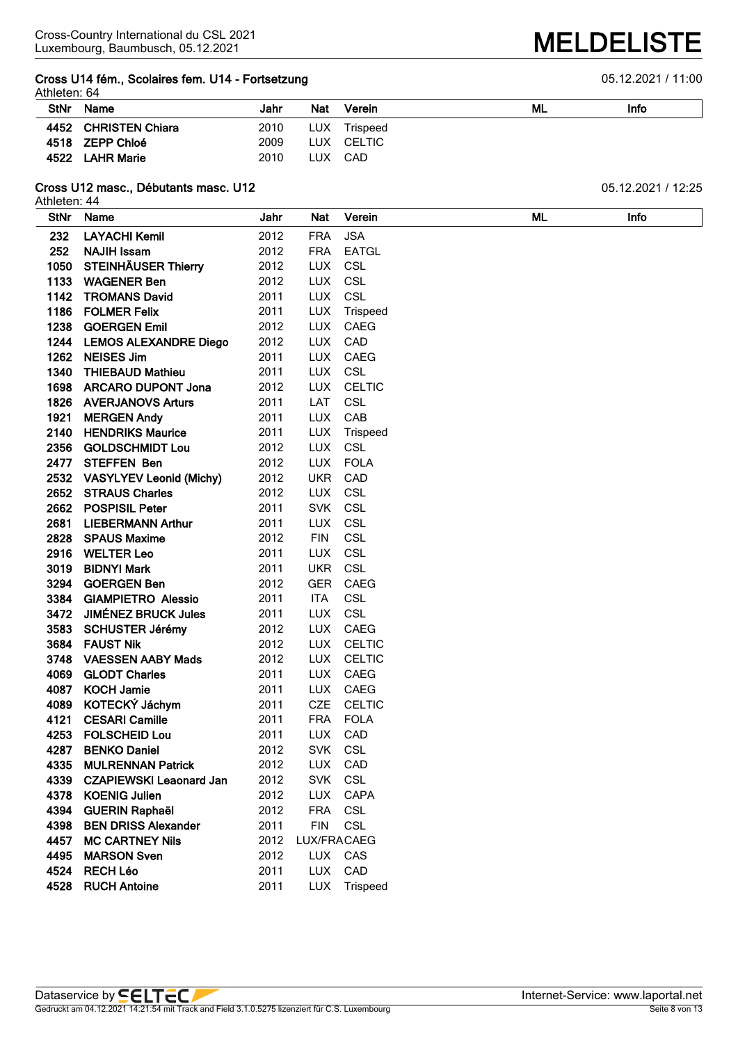#### **Cross U14 fém., Scolaires fem. U14 - Fortsetzung 6.6 and 19 and 19 and 10 and 10 and 10 and 10 and 10 and 10 and 10 and 10 and 10 and 10 and 10 and 10 and 10 and 10 and 10 and 10 and 10 and 10 and 10 and 10 and 10 and 10** Athleten: 64

| Allielen. 04 |                      |      |            |          |    |      |
|--------------|----------------------|------|------------|----------|----|------|
| <b>StNr</b>  | Name                 | Jahr | Nat        | Verein   | ML | Info |
|              | 4452 CHRISTEN Chiara | 2010 | <b>LUX</b> | Trispeed |    |      |
|              | 4518 ZEPP Chloé      | 2009 | LUX        | CELTIC   |    |      |
|              | 4522 LAHR Marie      | 2010 | LUX.       | CAD      |    |      |

## **Cross U12 masc., Débutants masc. U12** 05.12.2021 / 12:25

Athleten: 44

| <b>StNr</b> | Name                         | Jahr | <b>Nat</b>  | Verein        | ML | Info |
|-------------|------------------------------|------|-------------|---------------|----|------|
| 232         | <b>LAYACHI Kemil</b>         | 2012 | <b>FRA</b>  | <b>JSA</b>    |    |      |
| 252         | <b>NAJIH Issam</b>           | 2012 | <b>FRA</b>  | <b>EATGL</b>  |    |      |
| 1050        | <b>STEINHÄUSER Thierry</b>   | 2012 | <b>LUX</b>  | <b>CSL</b>    |    |      |
| 1133        | <b>WAGENER Ben</b>           | 2012 | <b>LUX</b>  | <b>CSL</b>    |    |      |
| 1142        | <b>TROMANS David</b>         | 2011 | <b>LUX</b>  | <b>CSL</b>    |    |      |
| 1186        | <b>FOLMER Felix</b>          | 2011 | <b>LUX</b>  | Trispeed      |    |      |
| 1238        | <b>GOERGEN Emil</b>          | 2012 | <b>LUX</b>  | <b>CAEG</b>   |    |      |
| 1244        | <b>LEMOS ALEXANDRE Diego</b> | 2012 | <b>LUX</b>  | CAD           |    |      |
| 1262        | <b>NEISES Jim</b>            | 2011 | <b>LUX</b>  | CAEG          |    |      |
| 1340        | <b>THIEBAUD Mathieu</b>      | 2011 | <b>LUX</b>  | <b>CSL</b>    |    |      |
| 1698        | <b>ARCARO DUPONT Jona</b>    | 2012 | <b>LUX</b>  | <b>CELTIC</b> |    |      |
|             | 1826 AVERJANOVS Arturs       | 2011 | LAT         | <b>CSL</b>    |    |      |
| 1921        | <b>MERGEN Andy</b>           | 2011 | <b>LUX</b>  | CAB           |    |      |
| 2140        | <b>HENDRIKS Maurice</b>      | 2011 | <b>LUX</b>  | Trispeed      |    |      |
| 2356        | <b>GOLDSCHMIDT Lou</b>       | 2012 | <b>LUX</b>  | <b>CSL</b>    |    |      |
|             | 2477 STEFFEN Ben             | 2012 | <b>LUX</b>  | <b>FOLA</b>   |    |      |
|             | 2532 VASYLYEV Leonid (Michy) | 2012 | <b>UKR</b>  | CAD           |    |      |
|             | 2652 STRAUS Charles          | 2012 | <b>LUX</b>  | <b>CSL</b>    |    |      |
|             | 2662 POSPISIL Peter          | 2011 | <b>SVK</b>  | <b>CSL</b>    |    |      |
| 2681        | <b>LIEBERMANN Arthur</b>     | 2011 | <b>LUX</b>  | <b>CSL</b>    |    |      |
|             | 2828 SPAUS Maxime            | 2012 | <b>FIN</b>  | <b>CSL</b>    |    |      |
|             | 2916 WELTER Leo              | 2011 | <b>LUX</b>  | <b>CSL</b>    |    |      |
| 3019        | <b>BIDNYI Mark</b>           | 2011 | <b>UKR</b>  | <b>CSL</b>    |    |      |
| 3294        | <b>GOERGEN Ben</b>           | 2012 | <b>GER</b>  | CAEG          |    |      |
| 3384        | <b>GIAMPIETRO Alessio</b>    | 2011 | <b>ITA</b>  | <b>CSL</b>    |    |      |
| 3472        | <b>JIMÉNEZ BRUCK Jules</b>   | 2011 | <b>LUX</b>  | <b>CSL</b>    |    |      |
| 3583        | <b>SCHUSTER Jérémy</b>       | 2012 | <b>LUX</b>  | CAEG          |    |      |
| 3684        | <b>FAUST Nik</b>             | 2012 | <b>LUX</b>  | <b>CELTIC</b> |    |      |
| 3748        | <b>VAESSEN AABY Mads</b>     | 2012 | <b>LUX</b>  | <b>CELTIC</b> |    |      |
| 4069        | <b>GLODT Charles</b>         | 2011 | <b>LUX</b>  | CAEG          |    |      |
| 4087        | <b>KOCH Jamie</b>            | 2011 | <b>LUX</b>  | CAEG          |    |      |
| 4089        | KOTECKÝ Jáchym               | 2011 | <b>CZE</b>  | <b>CELTIC</b> |    |      |
| 4121        | <b>CESARI Camille</b>        | 2011 | <b>FRA</b>  | <b>FOLA</b>   |    |      |
| 4253        | <b>FOLSCHEID Lou</b>         | 2011 | <b>LUX</b>  | CAD           |    |      |
| 4287        | <b>BENKO Daniel</b>          | 2012 | <b>SVK</b>  | <b>CSL</b>    |    |      |
| 4335        | <b>MULRENNAN Patrick</b>     | 2012 | LUX         | CAD           |    |      |
|             | 4339 CZAPIEWSKI Leaonard Jan | 2012 |             | SVK CSL       |    |      |
| 4378        | <b>KOENIG Julien</b>         | 2012 | <b>LUX</b>  | <b>CAPA</b>   |    |      |
| 4394        | <b>GUERIN Raphaël</b>        | 2012 | <b>FRA</b>  | <b>CSL</b>    |    |      |
| 4398        | <b>BEN DRISS Alexander</b>   | 2011 | <b>FIN</b>  | <b>CSL</b>    |    |      |
| 4457        | <b>MC CARTNEY Nils</b>       | 2012 | LUX/FRACAEG |               |    |      |
| 4495        | <b>MARSON Sven</b>           | 2012 | <b>LUX</b>  | CAS           |    |      |
| 4524        | <b>RECH Léo</b>              | 2011 | <b>LUX</b>  | CAD           |    |      |
|             | 4528 RUCH Antoine            | 2011 |             | LUX Trispeed  |    |      |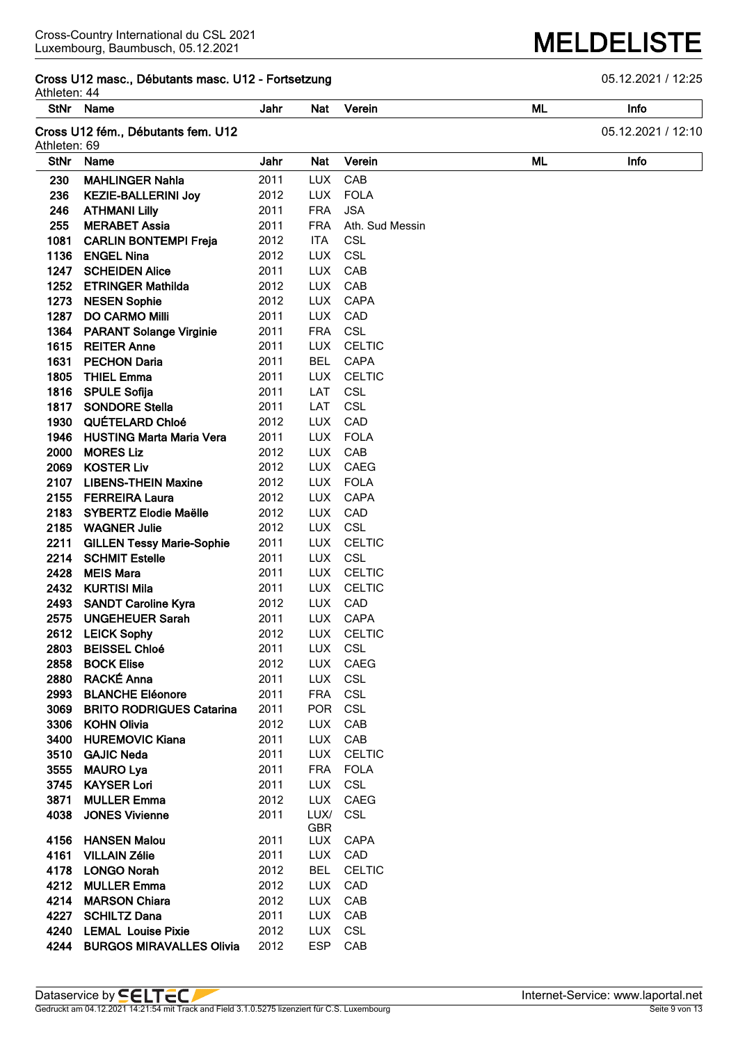# **Cross U12 masc., Débutants masc. U12 - Fortsetzung** 05.12.2021 / 12:25

Athleten: 44

| Athleten: 44<br><b>StNr</b> | Name                               | Jahr | Nat        | Verein          | ML | Info               |
|-----------------------------|------------------------------------|------|------------|-----------------|----|--------------------|
|                             |                                    |      |            |                 |    |                    |
| Athleten: 69                | Cross U12 fém., Débutants fem. U12 |      |            |                 |    | 05.12.2021 / 12:10 |
| <b>StNr</b>                 | Name                               | Jahr | <b>Nat</b> | Verein          | ML | Info               |
| 230                         | <b>MAHLINGER Nahla</b>             | 2011 | <b>LUX</b> | CAB             |    |                    |
| 236                         | <b>KEZIE-BALLERINI Joy</b>         | 2012 | <b>LUX</b> | <b>FOLA</b>     |    |                    |
| 246                         | <b>ATHMANI Lilly</b>               | 2011 | <b>FRA</b> | <b>JSA</b>      |    |                    |
| 255                         | <b>MERABET Assia</b>               | 2011 | <b>FRA</b> | Ath. Sud Messin |    |                    |
| 1081                        | <b>CARLIN BONTEMPI Freja</b>       | 2012 | <b>ITA</b> | <b>CSL</b>      |    |                    |
| 1136                        | <b>ENGEL Nina</b>                  | 2012 | <b>LUX</b> | CSL             |    |                    |
| 1247                        | <b>SCHEIDEN Alice</b>              | 2011 | <b>LUX</b> | CAB             |    |                    |
| 1252                        | <b>ETRINGER Mathilda</b>           | 2012 | <b>LUX</b> | CAB             |    |                    |
| 1273                        | <b>NESEN Sophie</b>                | 2012 | <b>LUX</b> | <b>CAPA</b>     |    |                    |
| 1287                        | <b>DO CARMO Milli</b>              | 2011 | <b>LUX</b> | CAD             |    |                    |
| 1364                        | <b>PARANT Solange Virginie</b>     | 2011 | <b>FRA</b> | <b>CSL</b>      |    |                    |
| 1615                        | <b>REITER Anne</b>                 | 2011 | <b>LUX</b> | <b>CELTIC</b>   |    |                    |
| 1631                        | <b>PECHON Daria</b>                | 2011 | <b>BEL</b> | <b>CAPA</b>     |    |                    |
| 1805                        | <b>THIEL Emma</b>                  | 2011 | <b>LUX</b> | <b>CELTIC</b>   |    |                    |
| 1816                        | <b>SPULE Sofija</b>                | 2011 | LAT        | CSL             |    |                    |
| 1817                        | <b>SONDORE Stella</b>              | 2011 | LAT        | <b>CSL</b>      |    |                    |
| 1930                        | <b>QUÉTELARD Chloé</b>             | 2012 | <b>LUX</b> | CAD             |    |                    |
| 1946                        | <b>HUSTING Marta Maria Vera</b>    | 2011 | <b>LUX</b> | <b>FOLA</b>     |    |                    |
| 2000                        | <b>MORES Liz</b>                   | 2012 | <b>LUX</b> | CAB             |    |                    |
| 2069                        | <b>KOSTER Liv</b>                  | 2012 | <b>LUX</b> | CAEG            |    |                    |
| 2107                        | <b>LIBENS-THEIN Maxine</b>         | 2012 | <b>LUX</b> | <b>FOLA</b>     |    |                    |
| 2155                        | <b>FERREIRA Laura</b>              | 2012 | <b>LUX</b> | <b>CAPA</b>     |    |                    |
|                             | 2183 SYBERTZ Elodie Maëlle         | 2012 | <b>LUX</b> | CAD             |    |                    |
|                             | 2185 WAGNER Julie                  | 2012 | <b>LUX</b> | CSL             |    |                    |
| 2211                        | <b>GILLEN Tessy Marie-Sophie</b>   | 2011 | <b>LUX</b> | <b>CELTIC</b>   |    |                    |
| 2214                        | <b>SCHMIT Estelle</b>              | 2011 | <b>LUX</b> | CSL             |    |                    |
| 2428                        | <b>MEIS Mara</b>                   | 2011 | <b>LUX</b> | <b>CELTIC</b>   |    |                    |
| 2432                        | <b>KURTISI Mila</b>                | 2011 | <b>LUX</b> | <b>CELTIC</b>   |    |                    |
| 2493                        | <b>SANDT Caroline Kyra</b>         | 2012 | <b>LUX</b> | CAD             |    |                    |
| 2575                        | <b>UNGEHEUER Sarah</b>             | 2011 | <b>LUX</b> | CAPA            |    |                    |
| 2612                        | <b>LEICK Sophy</b>                 | 2012 | <b>LUX</b> | <b>CELTIC</b>   |    |                    |
| 2803                        | <b>BEISSEL Chloé</b>               | 2011 | LUX        | CSL             |    |                    |
| 2858                        | <b>BOCK Elise</b>                  | 2012 | <b>LUX</b> | <b>CAEG</b>     |    |                    |
| 2880                        | RACKÉ Anna                         | 2011 | <b>LUX</b> | <b>CSL</b>      |    |                    |
| 2993                        | <b>BLANCHE Eléonore</b>            | 2011 | <b>FRA</b> | <b>CSL</b>      |    |                    |
| 3069                        | <b>BRITO RODRIGUES Catarina</b>    | 2011 | POR        | CSL             |    |                    |
| 3306                        | <b>KOHN Olivia</b>                 | 2012 | <b>LUX</b> | CAB             |    |                    |
| 3400                        | <b>HUREMOVIC Kiana</b>             | 2011 | <b>LUX</b> | CAB             |    |                    |
| 3510                        | <b>GAJIC Neda</b>                  | 2011 | LUX        | <b>CELTIC</b>   |    |                    |
| 3555                        | <b>MAURO Lya</b>                   | 2011 | <b>FRA</b> | <b>FOLA</b>     |    |                    |
| 3745                        | <b>KAYSER Lori</b>                 | 2011 | <b>LUX</b> | CSL             |    |                    |
| 3871                        | <b>MULLER Emma</b>                 | 2012 | <b>LUX</b> | CAEG            |    |                    |
| 4038                        | <b>JONES Vivienne</b>              | 2011 | LUX/       | CSL             |    |                    |
|                             |                                    |      | <b>GBR</b> |                 |    |                    |
| 4156                        | <b>HANSEN Malou</b>                | 2011 | LUX        | CAPA            |    |                    |
| 4161                        | <b>VILLAIN Zélie</b>               | 2011 | <b>LUX</b> | CAD             |    |                    |
| 4178                        | <b>LONGO Norah</b>                 | 2012 | <b>BEL</b> | <b>CELTIC</b>   |    |                    |
| 4212                        | <b>MULLER Emma</b>                 | 2012 | <b>LUX</b> | CAD             |    |                    |
| 4214                        | <b>MARSON Chiara</b>               | 2012 | <b>LUX</b> | CAB             |    |                    |
| 4227                        | <b>SCHILTZ Dana</b>                | 2011 | <b>LUX</b> | CAB             |    |                    |
| 4240                        | <b>LEMAL Louise Pixie</b>          | 2012 | <b>LUX</b> | <b>CSL</b>      |    |                    |
| 4244                        | <b>BURGOS MIRAVALLES Olivia</b>    | 2012 | <b>ESP</b> | CAB             |    |                    |

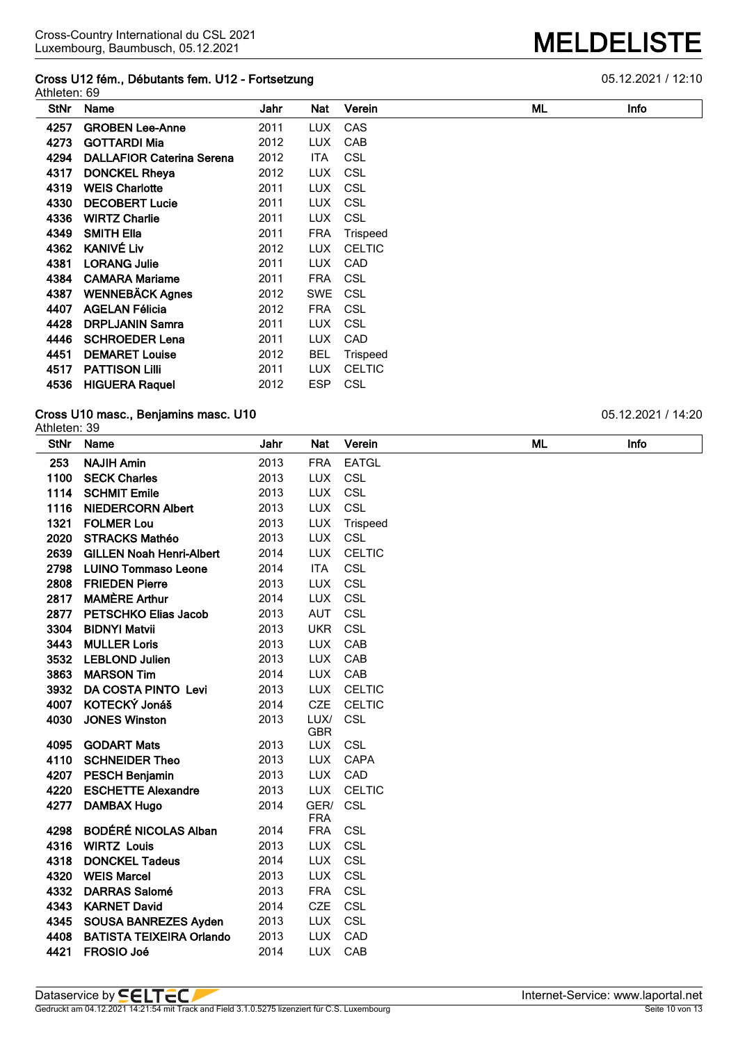#### **Cross U12 fém., Débutants fem. U12 - Fortsetzung** 05.12.2021 / 12:10 Athleten: 69

| StNr | Name                             | Jahr | Nat        | Verein          | ML | Infc |
|------|----------------------------------|------|------------|-----------------|----|------|
| 4257 | <b>GROBEN Lee-Anne</b>           | 2011 | <b>LUX</b> | CAS             |    |      |
| 4273 | <b>GOTTARDI Mia</b>              | 2012 | LUX.       | <b>CAB</b>      |    |      |
| 4294 | <b>DALLAFIOR Caterina Serena</b> | 2012 | ITA        | <b>CSL</b>      |    |      |
| 4317 | <b>DONCKEL Rheya</b>             | 2012 | <b>LUX</b> | CSL             |    |      |
| 4319 | <b>WEIS Charlotte</b>            | 2011 | <b>LUX</b> | CSL             |    |      |
| 4330 | <b>DECOBERT Lucie</b>            | 2011 | <b>LUX</b> | CSL             |    |      |
| 4336 | <b>WIRTZ Charlie</b>             | 2011 | <b>LUX</b> | CSL             |    |      |
| 4349 | <b>SMITH Ella</b>                | 2011 | <b>FRA</b> | <b>Trispeed</b> |    |      |
| 4362 | <b>KANIVÉ Liv</b>                | 2012 | <b>LUX</b> | <b>CELTIC</b>   |    |      |
| 4381 | <b>LORANG Julie</b>              | 2011 | <b>LUX</b> | CAD             |    |      |
| 4384 | <b>CAMARA Mariame</b>            | 2011 | <b>FRA</b> | CSL             |    |      |
| 4387 | <b>WENNEBÄCK Agnes</b>           | 2012 | <b>SWE</b> | CSL             |    |      |
| 4407 | <b>AGELAN Félicia</b>            | 2012 | <b>FRA</b> | CSL             |    |      |
| 4428 | <b>DRPLJANIN Samra</b>           | 2011 | <b>LUX</b> | CSL             |    |      |
| 4446 | <b>SCHROEDER Lena</b>            | 2011 | <b>LUX</b> | CAD             |    |      |
| 4451 | <b>DEMARET Louise</b>            | 2012 | <b>BEL</b> | <b>Trispeed</b> |    |      |
| 4517 | <b>PATTISON LIIII</b>            | 2011 | <b>LUX</b> | <b>CELTIC</b>   |    |      |
| 4536 | <b>HIGUERA Raquel</b>            | 2012 | ESP        | <b>CSL</b>      |    |      |

#### **Cross U10 masc., Benjamins masc. U10** 05.12.2021 / 14:20 Athleten: 39

| <b>StNr</b> | Name                            | Jahr | Nat                      | Verein        | ML | Info |
|-------------|---------------------------------|------|--------------------------|---------------|----|------|
| 253         | <b>NAJIH Amin</b>               | 2013 | <b>FRA</b>               | <b>EATGL</b>  |    |      |
| 1100        | <b>SECK Charles</b>             | 2013 | <b>LUX</b>               | CSL           |    |      |
| 1114        | <b>SCHMIT Emile</b>             | 2013 | <b>LUX</b>               | CSL           |    |      |
| 1116        | <b>NIEDERCORN Albert</b>        | 2013 | <b>LUX</b>               | CSL           |    |      |
| 1321        | <b>FOLMER Lou</b>               | 2013 | <b>LUX</b>               | Trispeed      |    |      |
| 2020        | <b>STRACKS Mathéo</b>           | 2013 | <b>LUX</b>               | <b>CSL</b>    |    |      |
| 2639        | <b>GILLEN Noah Henri-Albert</b> | 2014 | <b>LUX</b>               | <b>CELTIC</b> |    |      |
| 2798        | <b>LUINO Tommaso Leone</b>      | 2014 | <b>ITA</b>               | CSL           |    |      |
| 2808        | <b>FRIEDEN Pierre</b>           | 2013 | <b>LUX</b>               | CSL           |    |      |
| 2817        | <b>MAMÈRE Arthur</b>            | 2014 | <b>LUX</b>               | CSL           |    |      |
| 2877        | <b>PETSCHKO Elias Jacob</b>     | 2013 | <b>AUT</b>               | CSL           |    |      |
| 3304        | <b>BIDNYI Matvii</b>            | 2013 | <b>UKR</b>               | CSL           |    |      |
| 3443        | <b>MULLER Loris</b>             | 2013 | <b>LUX</b>               | CAB           |    |      |
| 3532        | <b>LEBLOND Julien</b>           | 2013 | <b>LUX</b>               | CAB           |    |      |
| 3863        | <b>MARSON Tim</b>               | 2014 | <b>LUX</b>               | CAB           |    |      |
| 3932        | DA COSTA PINTO Levi             | 2013 | <b>LUX</b>               | <b>CELTIC</b> |    |      |
| 4007        | KOTECKÝ Jonáš                   | 2014 | <b>CZE</b>               | <b>CELTIC</b> |    |      |
| 4030        | <b>JONES Winston</b>            | 2013 | LUX/                     | CSL           |    |      |
| 4095        | <b>GODART Mats</b>              | 2013 | <b>GBR</b><br><b>LUX</b> | CSL           |    |      |
| 4110        | <b>SCHNEIDER Theo</b>           | 2013 | <b>LUX</b>               | <b>CAPA</b>   |    |      |
| 4207        | <b>PESCH Benjamin</b>           | 2013 | <b>LUX</b>               | CAD           |    |      |
| 4220        | <b>ESCHETTE Alexandre</b>       | 2013 | <b>LUX</b>               | <b>CELTIC</b> |    |      |
| 4277        | <b>DAMBAX Hugo</b>              | 2014 | GER/                     | CSL           |    |      |
|             |                                 |      | <b>FRA</b>               |               |    |      |
| 4298        | <b>BODÉRÉ NICOLAS Alban</b>     | 2014 | <b>FRA</b>               | CSL           |    |      |
| 4316        | <b>WIRTZ Louis</b>              | 2013 | <b>LUX</b>               | CSL           |    |      |
| 4318        | <b>DONCKEL Tadeus</b>           | 2014 | <b>LUX</b>               | CSL           |    |      |
| 4320        | <b>WEIS Marcel</b>              | 2013 | <b>LUX</b>               | CSL           |    |      |
| 4332        | <b>DARRAS Salomé</b>            | 2013 | <b>FRA</b>               | CSL           |    |      |
| 4343        | <b>KARNET David</b>             | 2014 | <b>CZE</b>               | CSL           |    |      |
| 4345        | <b>SOUSA BANREZES Ayden</b>     | 2013 | <b>LUX</b>               | CSL           |    |      |
| 4408        | <b>BATISTA TEIXEIRA Orlando</b> | 2013 | <b>LUX</b>               | CAD           |    |      |
| 4421        | <b>FROSIO Joé</b>               | 2014 | LUX                      | CAB           |    |      |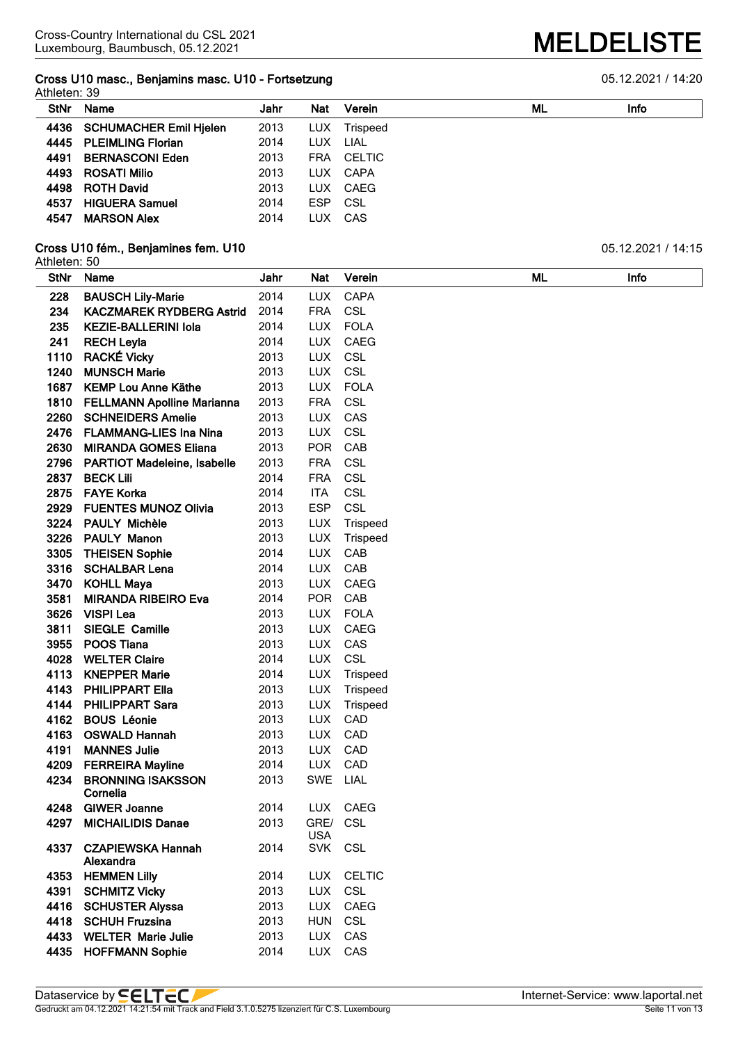#### **Cross U10 masc., Benjamins masc. U10 - Fortsetzung** 05.12.2021 / 14:20 Athleten: 39

|             | Alliieleit. Jy                |      |            |          |    |      |  |  |  |  |  |  |
|-------------|-------------------------------|------|------------|----------|----|------|--|--|--|--|--|--|
| <b>StNr</b> | Name                          | Jahr | <b>Nat</b> | Verein   | ML | Info |  |  |  |  |  |  |
| 4436        | <b>SCHUMACHER Emil Hjelen</b> | 2013 | LUX.       | Trispeed |    |      |  |  |  |  |  |  |
| 4445        | <b>PLEIMLING Florian</b>      | 2014 | LUX        | LIAL     |    |      |  |  |  |  |  |  |
| 4491        | <b>BERNASCONI Eden</b>        | 2013 | <b>FRA</b> | CELTIC   |    |      |  |  |  |  |  |  |
| 4493        | <b>ROSATI Milio</b>           | 2013 | LUX.       | CAPA     |    |      |  |  |  |  |  |  |
| 4498        | <b>ROTH David</b>             | 2013 | LUX.       | CAEG     |    |      |  |  |  |  |  |  |
| 4537        | <b>HIGUERA Samuel</b>         | 2014 | <b>ESP</b> | CSL      |    |      |  |  |  |  |  |  |
| 4547        | <b>MARSON Alex</b>            | 2014 | LUX        | CAS      |    |      |  |  |  |  |  |  |

#### **Cross U10 fém., Benjamines fem. U10** 05.12.2021 / 14:15

# Athleten: 50

| <b>StNr</b> | Name                               | Jahr | Nat                | Verein        | ML | Info |
|-------------|------------------------------------|------|--------------------|---------------|----|------|
| 228         | <b>BAUSCH Lily-Marie</b>           | 2014 | <b>LUX</b>         | <b>CAPA</b>   |    |      |
| 234         | <b>KACZMAREK RYDBERG Astrid</b>    | 2014 | <b>FRA</b>         | CSL           |    |      |
| 235         | <b>KEZIE-BALLERINI Iola</b>        | 2014 | <b>LUX</b>         | <b>FOLA</b>   |    |      |
| 241         | <b>RECH Leyla</b>                  | 2014 | <b>LUX</b>         | CAEG          |    |      |
| 1110        | <b>RACKÉ Vicky</b>                 | 2013 | <b>LUX</b>         | <b>CSL</b>    |    |      |
| 1240        | <b>MUNSCH Marie</b>                | 2013 | <b>LUX</b>         | <b>CSL</b>    |    |      |
| 1687        | <b>KEMP Lou Anne Käthe</b>         | 2013 | <b>LUX</b>         | <b>FOLA</b>   |    |      |
| 1810        | <b>FELLMANN Apolline Marianna</b>  | 2013 | <b>FRA</b>         | CSL           |    |      |
| 2260        | <b>SCHNEIDERS Amelie</b>           | 2013 | <b>LUX</b>         | CAS           |    |      |
| 2476        | <b>FLAMMANG-LIES Ina Nina</b>      | 2013 | <b>LUX</b>         | CSL           |    |      |
| 2630        | <b>MIRANDA GOMES Eliana</b>        | 2013 | <b>POR</b>         | CAB           |    |      |
| 2796        | <b>PARTIOT Madeleine, Isabelle</b> | 2013 | <b>FRA</b>         | CSL           |    |      |
| 2837        | <b>BECK Lili</b>                   | 2014 | <b>FRA</b>         | <b>CSL</b>    |    |      |
| 2875        | <b>FAYE Korka</b>                  | 2014 | <b>ITA</b>         | CSL           |    |      |
| 2929        | <b>FUENTES MUNOZ Olivia</b>        | 2013 | <b>ESP</b>         | <b>CSL</b>    |    |      |
| 3224        | <b>PAULY Michèle</b>               | 2013 | <b>LUX</b>         | Trispeed      |    |      |
| 3226        | <b>PAULY Manon</b>                 | 2013 | <b>LUX</b>         | Trispeed      |    |      |
| 3305        | <b>THEISEN Sophie</b>              | 2014 | <b>LUX</b>         | CAB           |    |      |
| 3316        | <b>SCHALBAR Lena</b>               | 2014 | <b>LUX</b>         | CAB           |    |      |
| 3470        | <b>KOHLL Maya</b>                  | 2013 | <b>LUX</b>         | CAEG          |    |      |
| 3581        | <b>MIRANDA RIBEIRO Eva</b>         | 2014 | <b>POR</b>         | CAB           |    |      |
| 3626        | <b>VISPI Lea</b>                   | 2013 | <b>LUX</b>         | <b>FOLA</b>   |    |      |
| 3811        | <b>SIEGLE Camille</b>              | 2013 | <b>LUX</b>         | CAEG          |    |      |
| 3955        | <b>POOS Tiana</b>                  | 2013 | <b>LUX</b>         | CAS           |    |      |
| 4028        | <b>WELTER Claire</b>               | 2014 | <b>LUX</b>         | CSL           |    |      |
| 4113        | <b>KNEPPER Marie</b>               | 2014 | <b>LUX</b>         | Trispeed      |    |      |
| 4143        | <b>PHILIPPART Ella</b>             | 2013 | <b>LUX</b>         | Trispeed      |    |      |
| 4144        | <b>PHILIPPART Sara</b>             | 2013 | <b>LUX</b>         | Trispeed      |    |      |
| 4162        | <b>BOUS Léonie</b>                 | 2013 | <b>LUX</b>         | CAD           |    |      |
| 4163        | <b>OSWALD Hannah</b>               | 2013 | <b>LUX</b>         | CAD           |    |      |
| 4191        | <b>MANNES Julie</b>                | 2013 | <b>LUX</b>         | CAD           |    |      |
| 4209        | <b>FERREIRA Mayline</b>            | 2014 | <b>LUX</b>         | CAD           |    |      |
| 4234        | <b>BRONNING ISAKSSON</b>           | 2013 | SWE                | LIAL          |    |      |
|             | Cornelia                           |      |                    |               |    |      |
| 4248        | <b>GIWER Joanne</b>                | 2014 | <b>LUX</b>         | CAEG          |    |      |
| 4297        | <b>MICHAILIDIS Danae</b>           | 2013 | GRE/<br><b>USA</b> | <b>CSL</b>    |    |      |
| 4337        | <b>CZAPIEWSKA Hannah</b>           | 2014 | <b>SVK</b>         | <b>CSL</b>    |    |      |
|             | Alexandra                          |      |                    |               |    |      |
| 4353        | <b>HEMMEN Lilly</b>                | 2014 | <b>LUX</b>         | <b>CELTIC</b> |    |      |
| 4391        | <b>SCHMITZ Vicky</b>               | 2013 | <b>LUX</b>         | CSL           |    |      |
| 4416        | <b>SCHUSTER Alyssa</b>             | 2013 | <b>LUX</b>         | CAEG          |    |      |
| 4418        | <b>SCHUH Fruzsina</b>              | 2013 | <b>HUN</b>         | CSL           |    |      |
| 4433        | <b>WELTER Marie Julie</b>          | 2013 | <b>LUX</b>         | CAS           |    |      |
| 4435        | <b>HOFFMANN Sophie</b>             | 2014 | <b>LUX</b>         | CAS           |    |      |

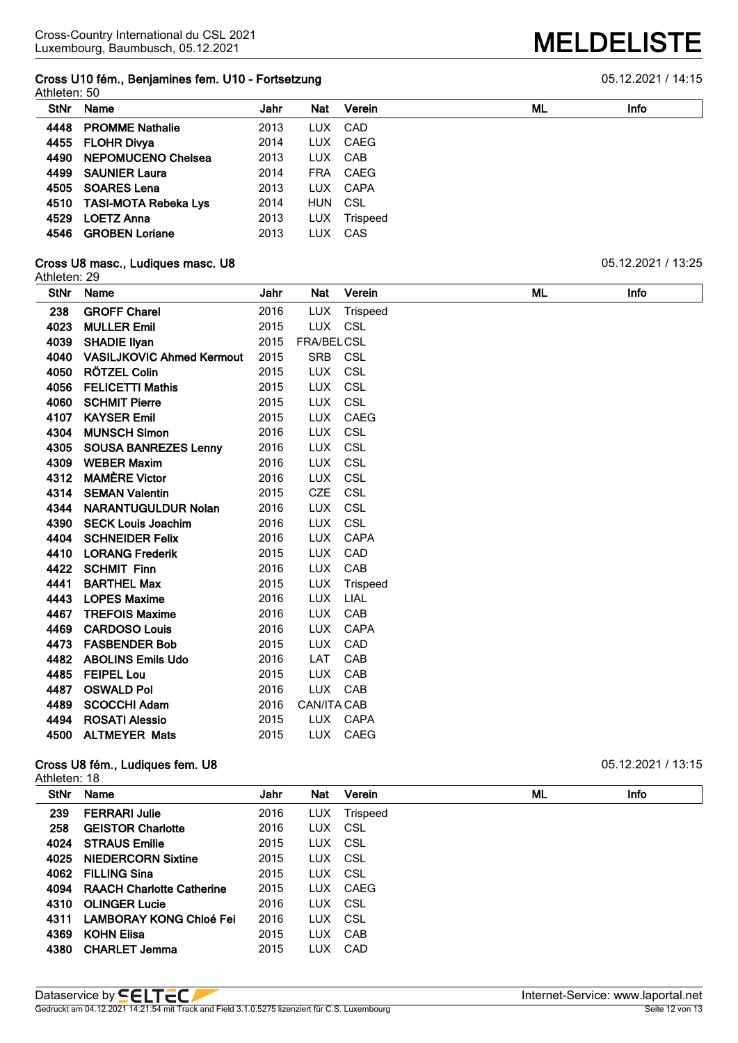## **Cross U10 fém., Benjamines fem. U10 - Fortsetzung cancer et al. 2021 / 14:15**

|             | Athleten: 50              |      |            |          |    |             |  |  |  |  |  |
|-------------|---------------------------|------|------------|----------|----|-------------|--|--|--|--|--|
| <b>StNr</b> | <b>Name</b>               | Jahr | Nat        | Verein   | ML | <b>Info</b> |  |  |  |  |  |
| 4448        | <b>PROMME Nathalie</b>    | 2013 | LUX.       | CAD      |    |             |  |  |  |  |  |
|             | 4455 FLOHR Divya          | 2014 | LUX.       | CAEG     |    |             |  |  |  |  |  |
| 4490        | NEPOMUCENO Chelsea        | 2013 |            | LUX CAB  |    |             |  |  |  |  |  |
| 4499        | <b>SAUNIER Laura</b>      | 2014 | <b>FRA</b> | CAEG     |    |             |  |  |  |  |  |
| 4505        | <b>SOARES Lena</b>        | 2013 |            | LUX CAPA |    |             |  |  |  |  |  |
|             | 4510 TASI-MOTA Rebeka Lys | 2014 | HUN CSL    |          |    |             |  |  |  |  |  |
| 4529        | <b>LOETZ Anna</b>         | 2013 | LUX.       | Trispeed |    |             |  |  |  |  |  |
| 4546        | <b>GROBEN Loriane</b>     | 2013 | <b>LUX</b> | CAS      |    |             |  |  |  |  |  |
|             |                           |      |            |          |    |             |  |  |  |  |  |

#### **Cross U8 masc., Ludiques masc. U8 Cross U8 masc. U8 Cross U8 masc. U8 Cross U8 masc.** U2.2021 / 13:25

| Athleten: 29 |                                  |      |                    |             |    |      |
|--------------|----------------------------------|------|--------------------|-------------|----|------|
| <b>StNr</b>  | Name                             | Jahr | Nat                | Verein      | ML | Info |
| 238          | <b>GROFF Charel</b>              | 2016 | <b>LUX</b>         | Trispeed    |    |      |
| 4023         | <b>MULLER Emil</b>               | 2015 | <b>LUX</b>         | <b>CSL</b>  |    |      |
| 4039         | <b>SHADIE Ilyan</b>              | 2015 | FRA/BELCSL         |             |    |      |
| 4040         | <b>VASILJKOVIC Ahmed Kermout</b> | 2015 | SRB                | CSL         |    |      |
| 4050         | RÖTZEL Colin                     | 2015 | <b>LUX</b>         | <b>CSL</b>  |    |      |
| 4056         | <b>FELICETTI Mathis</b>          | 2015 | <b>LUX</b>         | <b>CSL</b>  |    |      |
| 4060         | <b>SCHMIT Pierre</b>             | 2015 | <b>LUX</b>         | <b>CSL</b>  |    |      |
| 4107         | <b>KAYSER Emil</b>               | 2015 | <b>LUX</b>         | <b>CAEG</b> |    |      |
| 4304         | <b>MUNSCH Simon</b>              | 2016 | LUX                | <b>CSL</b>  |    |      |
| 4305         | <b>SOUSA BANREZES Lenny</b>      | 2016 | <b>LUX</b>         | CSL         |    |      |
| 4309         | <b>WEBER Maxim</b>               | 2016 | <b>LUX</b>         | <b>CSL</b>  |    |      |
| 4312         | <b>MAMÈRE Victor</b>             | 2016 | <b>LUX</b>         | CSL         |    |      |
| 4314         | <b>SEMAN Valentin</b>            | 2015 | <b>CZE</b>         | <b>CSL</b>  |    |      |
| 4344         | <b>NARANTUGULDUR Nolan</b>       | 2016 | <b>LUX</b>         | <b>CSL</b>  |    |      |
| 4390         | <b>SECK Louis Joachim</b>        | 2016 | <b>LUX</b>         | CSL         |    |      |
| 4404         | <b>SCHNEIDER Felix</b>           | 2016 | <b>LUX</b>         | <b>CAPA</b> |    |      |
| 4410         | <b>LORANG Frederik</b>           | 2015 | <b>LUX</b>         | CAD         |    |      |
| 4422         | <b>SCHMIT Finn</b>               | 2016 | <b>LUX</b>         | CAB         |    |      |
| 4441         | <b>BARTHEL Max</b>               | 2015 | LUX.               | Trispeed    |    |      |
| 4443         | <b>LOPES Maxime</b>              | 2016 | <b>LUX</b>         | <b>LIAL</b> |    |      |
| 4467         | <b>TREFOIS Maxime</b>            | 2016 | <b>LUX</b>         | CAB         |    |      |
| 4469         | <b>CARDOSO Louis</b>             | 2016 | <b>LUX</b>         | <b>CAPA</b> |    |      |
| 4473         | <b>FASBENDER Bob</b>             | 2015 | <b>LUX</b>         | CAD         |    |      |
| 4482         | <b>ABOLINS Emils Udo</b>         | 2016 | LAT                | CAB         |    |      |
| 4485         | <b>FEIPEL Lou</b>                | 2015 | <b>LUX</b>         | CAB         |    |      |
| 4487         | <b>OSWALD Pol</b>                | 2016 | <b>LUX</b>         | CAB         |    |      |
| 4489         | <b>SCOCCHI Adam</b>              | 2016 | <b>CAN/ITA CAB</b> |             |    |      |
| 4494         | <b>ROSATI Alessio</b>            | 2015 | <b>LUX</b>         | <b>CAPA</b> |    |      |
| 4500         | <b>ALTMEYER Mats</b>             | 2015 | <b>LUX</b>         | CAEG        |    |      |

#### **Cross U8 fém., Ludiques fem. U8 Cross U8 fém., Ludiques fem. U8 D5.12.2021** / 13:15

|             | Athleten: 18                     |      |            |          |    |             |  |  |  |  |  |
|-------------|----------------------------------|------|------------|----------|----|-------------|--|--|--|--|--|
| <b>StNr</b> | Name                             | Jahr | <b>Nat</b> | Verein   | ML | <b>Info</b> |  |  |  |  |  |
| 239         | <b>FERRARI Julie</b>             | 2016 | LUX.       | Trispeed |    |             |  |  |  |  |  |
| 258         | <b>GEISTOR Charlotte</b>         | 2016 | LUX CSL    |          |    |             |  |  |  |  |  |
| 4024        | <b>STRAUS Emilie</b>             | 2015 | LUX CSL    |          |    |             |  |  |  |  |  |
| 4025        | <b>NIEDERCORN Sixtine</b>        | 2015 | LUX CSL    |          |    |             |  |  |  |  |  |
| 4062        | <b>FILLING Sina</b>              | 2015 | LUX CSL    |          |    |             |  |  |  |  |  |
| 4094        | <b>RAACH Charlotte Catherine</b> | 2015 |            | LUX CAEG |    |             |  |  |  |  |  |
| 4310        | <b>OLINGER Lucie</b>             | 2016 | LUX CSL    |          |    |             |  |  |  |  |  |
| 4311        | LAMBORAY KONG Chloé Fei          | 2016 | LUX CSL    |          |    |             |  |  |  |  |  |
| 4369        | <b>KOHN Elisa</b>                | 2015 |            | LUX CAB  |    |             |  |  |  |  |  |
| 4380        | <b>CHARLET Jemma</b>             | 2015 | LUX.       | CAD      |    |             |  |  |  |  |  |